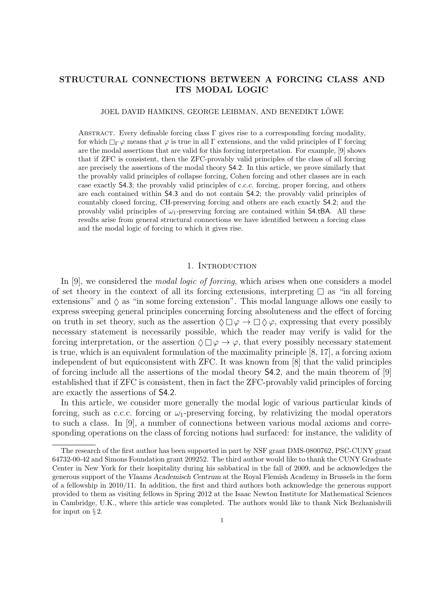# STRUCTURAL CONNECTIONS BETWEEN A FORCING CLASS AND ITS MODAL LOGIC

#### JOEL DAVID HAMKINS, GEORGE LEIBMAN, AND BENEDIKT LÖWE

ABSTRACT. Every definable forcing class  $\Gamma$  gives rise to a corresponding forcing modality, for which  $\Box_{\Gamma} \varphi$  means that  $\varphi$  is true in all  $\Gamma$  extensions, and the valid principles of  $\Gamma$  forcing are the modal assertions that are valid for this forcing interpretation. For example, [9] shows that if ZFC is consistent, then the ZFC-provably valid principles of the class of all forcing are precisely the assertions of the modal theory S4.2. In this article, we prove similarly that the provably valid principles of collapse forcing, Cohen forcing and other classes are in each case exactly S4.3; the provably valid principles of c.c.c. forcing, proper forcing, and others are each contained within S4.3 and do not contain S4.2; the provably valid principles of countably closed forcing, CH-preserving forcing and others are each exactly S4.2; and the provably valid principles of  $\omega_1$ -preserving forcing are contained within S4.tBA. All these results arise from general structural connections we have identified between a forcing class and the modal logic of forcing to which it gives rise.

## 1. INTRODUCTION

In [9], we considered the *modal logic of forcing*, which arises when one considers a model of set theory in the context of all its forcing extensions, interpreting  $\Box$  as "in all forcing extensions" and  $\Diamond$  as "in some forcing extension". This modal language allows one easily to express sweeping general principles concerning forcing absoluteness and the effect of forcing on truth in set theory, such as the assertion  $\Diamond \Box \varphi \rightarrow \Box \Diamond \varphi$ , expressing that every possibly necessary statement is necessarily possible, which the reader may verify is valid for the forcing interpretation, or the assertion  $\Diamond \Box \varphi \rightarrow \varphi$ , that every possibly necessary statement is true, which is an equivalent formulation of the maximality principle [8, 17], a forcing axiom independent of but equiconsistent with ZFC. It was known from [8] that the valid principles of forcing include all the assertions of the modal theory S4.2, and the main theorem of [9] established that if ZFC is consistent, then in fact the ZFC-provably valid principles of forcing are exactly the assertions of S4.2.

In this article, we consider more generally the modal logic of various particular kinds of forcing, such as c.c.c. forcing or  $\omega_1$ -preserving forcing, by relativizing the modal operators to such a class. In [9], a number of connections between various modal axioms and corresponding operations on the class of forcing notions had surfaced: for instance, the validity of

The research of the first author has been supported in part by NSF grant DMS-0800762, PSC-CUNY grant 64732-00-42 and Simons Foundation grant 209252. The third author would like to thank the CUNY Graduate Center in New York for their hospitality during his sabbatical in the fall of 2009, and he acknowledges the generous support of the Vlaams Academisch Centrum at the Royal Flemish Academy in Brussels in the form of a fellowship in 2010/11. In addition, the first and third authors both acknowledge the generous support provided to them as visiting fellows in Spring 2012 at the Isaac Newton Institute for Mathematical Sciences in Cambridge, U.K., where this article was completed. The authors would like to thank Nick Bezhanishvili for input on  $\S 2$ .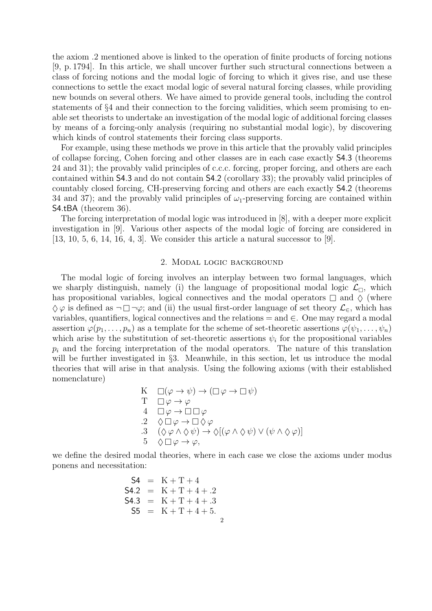the axiom .2 mentioned above is linked to the operation of finite products of forcing notions [9, p. 1794]. In this article, we shall uncover further such structural connections between a class of forcing notions and the modal logic of forcing to which it gives rise, and use these connections to settle the exact modal logic of several natural forcing classes, while providing new bounds on several others. We have aimed to provide general tools, including the control statements of §4 and their connection to the forcing validities, which seem promising to enable set theorists to undertake an investigation of the modal logic of additional forcing classes by means of a forcing-only analysis (requiring no substantial modal logic), by discovering which kinds of control statements their forcing class supports.

For example, using these methods we prove in this article that the provably valid principles of collapse forcing, Cohen forcing and other classes are in each case exactly S4.3 (theorems 24 and 31); the provably valid principles of c.c.c. forcing, proper forcing, and others are each contained within S4.3 and do not contain S4.2 (corollary 33); the provably valid principles of countably closed forcing, CH-preserving forcing and others are each exactly S4.2 (theorems 34 and 37); and the provably valid principles of  $\omega_1$ -preserving forcing are contained within S4.tBA (theorem 36).

The forcing interpretation of modal logic was introduced in [8], with a deeper more explicit investigation in [9]. Various other aspects of the modal logic of forcing are considered in [13, 10, 5, 6, 14, 16, 4, 3]. We consider this article a natural successor to [9].

### 2. Modal logic background

The modal logic of forcing involves an interplay between two formal languages, which we sharply distinguish, namely (i) the language of propositional modal logic  $\mathcal{L}_{\Box}$ , which has propositional variables, logical connectives and the modal operators  $\Box$  and  $\Diamond$  (where  $\Diamond \varphi$  is defined as  $\neg \Box \neg \varphi$ ; and (ii) the usual first-order language of set theory  $\mathcal{L}_{\in}$ , which has variables, quantifiers, logical connectives and the relations  $=$  and  $\in$ . One may regard a modal assertion  $\varphi(p_1,\ldots,p_n)$  as a template for the scheme of set-theoretic assertions  $\varphi(\psi_1,\ldots,\psi_n)$ which arise by the substitution of set-theoretic assertions  $\psi_i$  for the propositional variables  $p_i$  and the forcing interpretation of the modal operators. The nature of this translation will be further investigated in §3. Meanwhile, in this section, let us introduce the modal theories that will arise in that analysis. Using the following axioms (with their established nomenclature)

K 
$$
\Box(\varphi \to \psi) \to (\Box \varphi \to \Box \psi)
$$
  
\nT 
$$
\Box \varphi \to \varphi
$$
  
\n4 
$$
\Box \varphi \to \Box \Box \varphi
$$
  
\n.2 
$$
\Diamond \Box \varphi \to \Box \Diamond \varphi
$$
  
\n.3 
$$
(\Diamond \varphi \land \Diamond \psi) \to \Diamond [(\varphi \land \Diamond \psi) \lor (\psi \land \Diamond \varphi)]
$$
  
\n5 
$$
\Diamond \Box \varphi \to \varphi,
$$

we define the desired modal theories, where in each case we close the axioms under modus ponens and necessitation:

$$
S4 = K + T + 4
$$
  
\n
$$
S4.2 = K + T + 4 + .2
$$
  
\n
$$
S4.3 = K + T + 4 + .3
$$
  
\n
$$
S5 = K + T + 4 + 5.
$$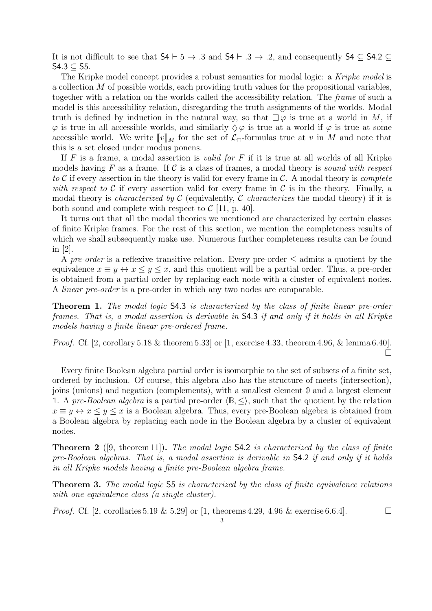It is not difficult to see that  $\mathsf{S4} \vdash 5 \to .3$  and  $\mathsf{S4} \vdash .3 \to .2$ , and consequently  $\mathsf{S4} \subseteq \mathsf{S4.2} \subseteq$ S4.3 ⊆ S5.

The Kripke model concept provides a robust semantics for modal logic: a Kripke model is a collection  $M$  of possible worlds, each providing truth values for the propositional variables, together with a relation on the worlds called the accessibility relation. The frame of such a model is this accessibility relation, disregarding the truth assignments of the worlds. Modal truth is defined by induction in the natural way, so that  $\Box \varphi$  is true at a world in M, if  $\varphi$  is true in all accessible worlds, and similarly  $\Diamond \varphi$  is true at a world if  $\varphi$  is true at some accessible world. We write  $[\![v]\!]_M$  for the set of  $\mathcal{L}_{\Box}$ -formulas true at v in M and note that this is a set closed under modus ponens.

If  $F$  is a frame, a modal assertion is *valid for*  $F$  if it is true at all worlds of all Kripke models having F as a frame. If C is a class of frames, a modal theory is sound with respect to  $C$  if every assertion in the theory is valid for every frame in  $C$ . A modal theory is *complete* with respect to C if every assertion valid for every frame in C is in the theory. Finally, a modal theory is *characterized by*  $\mathcal C$  (equivalently,  $\mathcal C$  *characterizes* the modal theory) if it is both sound and complete with respect to  $\mathcal{C}$  [11, p. 40].

It turns out that all the modal theories we mentioned are characterized by certain classes of finite Kripke frames. For the rest of this section, we mention the completeness results of which we shall subsequently make use. Numerous further completeness results can be found in [2].

A pre-order is a reflexive transitive relation. Every pre-order  $\leq$  admits a quotient by the equivalence  $x \equiv y \leftrightarrow x \leq y \leq x$ , and this quotient will be a partial order. Thus, a pre-order is obtained from a partial order by replacing each node with a cluster of equivalent nodes. A linear pre-order is a pre-order in which any two nodes are comparable.

Theorem 1. The modal logic S4.3 is characterized by the class of finite linear pre-order frames. That is, a modal assertion is derivable in S4.3 if and only if it holds in all Kripke models having a finite linear pre-ordered frame.

*Proof.* Cf. [2, corollary 5.18 & theorem 5.33] or  $[1, \text{ exercise } 4.33, \text{ theorem } 4.96, \& \text{ lemma } 6.40].$  $\Box$ 

Every finite Boolean algebra partial order is isomorphic to the set of subsets of a finite set, ordered by inclusion. Of course, this algebra also has the structure of meets (intersection), joins (unions) and negation (complements), with a smallest element **0** and a largest element **1**. A pre-Boolean algebra is a partial pre-order  $\langle \mathbb{B}, \leq \rangle$ , such that the quotient by the relation  $x \equiv y \leftrightarrow x \leq y \leq x$  is a Boolean algebra. Thus, every pre-Boolean algebra is obtained from a Boolean algebra by replacing each node in the Boolean algebra by a cluster of equivalent nodes.

**Theorem 2** ([9, theorem 11]). The modal logic  $\mathsf{S4.2}$  is characterized by the class of finite pre-Boolean algebras. That is, a modal assertion is derivable in S4.2 if and only if it holds in all Kripke models having a finite pre-Boolean algebra frame.

Theorem 3. The modal logic  $55$  is characterized by the class of finite equivalence relations with one equivalence class (a single cluster).

*Proof.* Cf. [2, corollaries 5.19 & 5.29] or [1, theorems 4.29, 4.96 & exercise 6.6.4].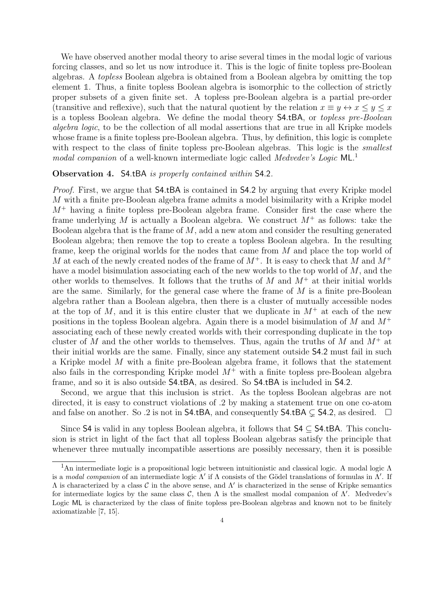We have observed another modal theory to arise several times in the modal logic of various forcing classes, and so let us now introduce it. This is the logic of finite topless pre-Boolean algebras. A topless Boolean algebra is obtained from a Boolean algebra by omitting the top element **1**. Thus, a finite topless Boolean algebra is isomorphic to the collection of strictly proper subsets of a given finite set. A topless pre-Boolean algebra is a partial pre-order (transitive and reflexive), such that the natural quotient by the relation  $x \equiv y \leftrightarrow x \leq y \leq x$ is a topless Boolean algebra. We define the modal theory S4.tBA, or topless pre-Boolean algebra logic, to be the collection of all modal assertions that are true in all Kripke models whose frame is a finite topless pre-Boolean algebra. Thus, by definition, this logic is complete with respect to the class of finite topless pre-Boolean algebras. This logic is the *smallest* modal companion of a well-known intermediate logic called Medvedev's Logic ML.<sup>1</sup>

#### Observation 4. S4.tBA is properly contained within S4.2.

Proof. First, we argue that S4.tBA is contained in S4.2 by arguing that every Kripke model M with a finite pre-Boolean algebra frame admits a model bisimilarity with a Kripke model  $M^+$  having a finite topless pre-Boolean algebra frame. Consider first the case where the frame underlying M is actually a Boolean algebra. We construct  $M^+$  as follows: take the Boolean algebra that is the frame of M, add a new atom and consider the resulting generated Boolean algebra; then remove the top to create a topless Boolean algebra. In the resulting frame, keep the original worlds for the nodes that came from M and place the top world of M at each of the newly created nodes of the frame of  $M^+$ . It is easy to check that M and  $M^+$ have a model bisimulation associating each of the new worlds to the top world of M, and the other worlds to themselves. It follows that the truths of  $M$  and  $M^+$  at their initial worlds are the same. Similarly, for the general case where the frame of  $M$  is a finite pre-Boolean algebra rather than a Boolean algebra, then there is a cluster of mutually accessible nodes at the top of M, and it is this entire cluster that we duplicate in  $M^+$  at each of the new positions in the topless Boolean algebra. Again there is a model bisimulation of  $M$  and  $M^+$ associating each of these newly created worlds with their corresponding duplicate in the top cluster of M and the other worlds to themselves. Thus, again the truths of M and  $M^+$  at their initial worlds are the same. Finally, since any statement outside S4.2 must fail in such a Kripke model M with a finite pre-Boolean algebra frame, it follows that the statement also fails in the corresponding Kripke model  $M^+$  with a finite topless pre-Boolean algebra frame, and so it is also outside S4.tBA, as desired. So S4.tBA is included in S4.2.

Second, we argue that this inclusion is strict. As the topless Boolean algebras are not directed, it is easy to construct violations of .2 by making a statement true on one co-atom and false on another. So .2 is not in **S4.tBA**, and consequently **S4.tBA**  $\subseteq$  **S4.2**, as desired.  $\Box$ 

Since S4 is valid in any topless Boolean algebra, it follows that  $S4 \subset S4$ .tBA. This conclusion is strict in light of the fact that all topless Boolean algebras satisfy the principle that whenever three mutually incompatible assertions are possibly necessary, then it is possible

<sup>&</sup>lt;sup>1</sup>An intermediate logic is a propositional logic between intuitionistic and classical logic. A modal logic  $\Lambda$ is a modal companion of an intermediate logic  $\Lambda'$  if  $\Lambda$  consists of the Gödel translations of formulas in  $\Lambda'$ . If  $\Lambda$  is characterized by a class  $\mathcal C$  in the above sense, and  $\Lambda'$  is characterized in the sense of Kripke semantics for intermediate logics by the same class C, then  $\Lambda$  is the smallest modal companion of  $\Lambda'$ . Medvedev's Logic ML is characterized by the class of finite topless pre-Boolean algebras and known not to be finitely axiomatizable [7, 15].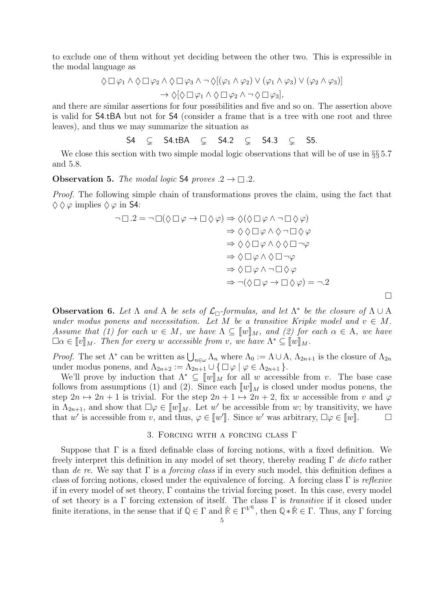to exclude one of them without yet deciding between the other two. This is expressible in the modal language as

$$
\Diamond \Box \varphi_1 \land \Diamond \Box \varphi_2 \land \Diamond \Box \varphi_3 \land \neg \Diamond [(\varphi_1 \land \varphi_2) \lor (\varphi_1 \land \varphi_3) \lor (\varphi_2 \land \varphi_3)]
$$

$$
\rightarrow \Diamond [\Diamond \Box \varphi_1 \land \Diamond \Box \varphi_2 \land \neg \Diamond \Box \varphi_3],
$$

and there are similar assertions for four possibilities and five and so on. The assertion above is valid for S4.tBA but not for S4 (consider a frame that is a tree with one root and three leaves), and thus we may summarize the situation as

S4  $\subseteq$  S4.tBA  $\subseteq$  S4.2  $\subseteq$  S4.3  $\subseteq$  S5.

We close this section with two simple modal logic observations that will be of use in  $\S$ § 5.7 and 5.8.

## **Observation 5.** The modal logic S4 proves  $.2 \rightarrow \square$ .2.

Proof. The following simple chain of transformations proves the claim, using the fact that  $\Diamond \Diamond \varphi$  implies  $\Diamond \varphi$  in S4:

$$
\neg \Box \cdot 2 = \neg \Box(\Diamond \Box \varphi \rightarrow \Box \Diamond \varphi) \Rightarrow \Diamond(\Diamond \Box \varphi \land \neg \Box \Diamond \varphi)
$$
  
\n
$$
\Rightarrow \Diamond \Diamond \Box \varphi \land \Diamond \neg \Box \Diamond \varphi
$$
  
\n
$$
\Rightarrow \Diamond \Diamond \Box \varphi \land \Diamond \Diamond \Box \neg \varphi
$$
  
\n
$$
\Rightarrow \Diamond \Box \varphi \land \Diamond \Diamond \Box \neg \varphi
$$
  
\n
$$
\Rightarrow \Diamond \Box \varphi \land \Diamond \Box \neg \varphi
$$
  
\n
$$
\Rightarrow \Diamond \Box \varphi \land \neg \Box \Diamond \varphi
$$
  
\n
$$
\Rightarrow \neg(\Diamond \Box \varphi \rightarrow \Box \Diamond \varphi) = \neg \cdot 2
$$

**Observation 6.** Let  $\Lambda$  and  $A$  be sets of  $\mathcal{L}_{\Box}$ -formulas, and let  $\Lambda^*$  be the closure of  $\Lambda \cup A$ under modus ponens and necessitation. Let M be a transitive Kripke model and  $v \in M$ . Assume that (1) for each  $w \in M$ , we have  $\Lambda \subseteq [w]_M$ , and (2) for each  $\alpha \in \Lambda$ , we have  $\Box \alpha \in \llbracket v \rrbracket_M$ . Then for every w accessible from v, we have  $\Lambda^* \subseteq \llbracket w \rrbracket_M$ .

*Proof.* The set  $\Lambda^*$  can be written as  $\bigcup_{n\in\omega}\Lambda_n$  where  $\Lambda_0 := \Lambda \cup \Lambda$ ,  $\Lambda_{2n+1}$  is the closure of  $\Lambda_{2n}$ under modus ponens, and  $\Lambda_{2n+2} := \Lambda_{2n+1} \cup \{ \Box \varphi \mid \varphi \in \Lambda_{2n+1} \}.$ 

We'll prove by induction that  $\Lambda^* \subseteq [w]_M$  for all w accessible from v. The base case follows from assumptions (1) and (2). Since each  $\llbracket w \rrbracket_M$  is closed under modus ponens, the step  $2n \mapsto 2n + 1$  is trivial. For the step  $2n + 1 \mapsto 2n + 2$ , fix w accessible from v and  $\varphi$ in  $\Lambda_{2n+1}$ , and show that  $\square \varphi \in [\![w]\!]_M$ . Let w' be accessible from w; by transitivity, we have that w' is accessible from v, and thus,  $\varphi \in [w']$ . Since w' was arbitrary,  $\Box \varphi \in [w']$ .

## 3. Forcing with a forcing class Γ

Suppose that  $\Gamma$  is a fixed definable class of forcing notions, with a fixed definition. We freely interpret this definition in any model of set theory, thereby reading  $\Gamma$  de dicto rather than de re. We say that  $\Gamma$  is a forcing class if in every such model, this definition defines a class of forcing notions, closed under the equivalence of forcing. A forcing class  $\Gamma$  is reflexive if in every model of set theory, Γ contains the trivial forcing poset. In this case, every model of set theory is a  $\Gamma$  forcing extension of itself. The class  $\Gamma$  is *transitive* if it closed under finite iterations, in the sense that if  $\mathbb{Q} \in \Gamma$  and  $\dot{\mathbb{R}} \in \Gamma^{V^{\mathbb{Q}}}$ , then  $\mathbb{Q} * \dot{\mathbb{R}} \in \Gamma$ . Thus, any  $\Gamma$  forcing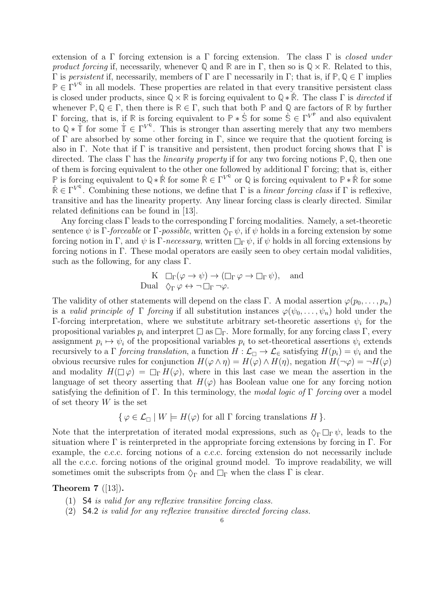extension of a Γ forcing extension is a Γ forcing extension. The class Γ is *closed under* product forcing if, necessarily, whenever  $\mathbb{Q}$  and  $\mathbb{R}$  are in  $\Gamma$ , then so is  $\mathbb{Q} \times \mathbb{R}$ . Related to this, Γ is persistent if, necessarily, members of Γ are Γ necessarily in Γ; that is, if **P**, **Q** ∈ Γ implies  $\mathbb{P} \in \Gamma^{V^{\mathbb{Q}}}$  in all models. These properties are related in that every transitive persistent class is closed under products, since  $\mathbb{Q} \times \mathbb{R}$  is forcing equivalent to  $\mathbb{Q} * \mathbb{R}$ . The class  $\Gamma$  is directed if whenever  $\mathbb{P}, \mathbb{Q} \in \Gamma$ , then there is  $\mathbb{R} \in \Gamma$ , such that both  $\mathbb{P}$  and  $\mathbb{Q}$  are factors of  $\mathbb{R}$  by further Γ forcing, that is, if **R** is forcing equivalent to **P** ∗ **S**˙ for some **S**˙ ∈ Γ V P and also equivalent to  $\mathbb{Q} * \dot{\mathbb{T}}$  for some  $\dot{\mathbb{T}} \in \Gamma^{V^{\mathbb{Q}}}$ . This is stronger than asserting merely that any two members of  $\Gamma$  are absorbed by some other forcing in  $\Gamma$ , since we require that the quotient forcing is also in Γ. Note that if Γ is transitive and persistent, then product forcing shows that Γ is directed. The class Γ has the linearity property if for any two forcing notions **P**, **Q**, then one of them is forcing equivalent to the other one followed by additional Γ forcing; that is, either **P** is forcing equivalent to  $\mathbb{Q} * \mathbb{R}$  for some  $\mathbb{R} \in \Gamma^{V^{\mathbb{Q}}}$  or  $\mathbb{Q}$  is forcing equivalent to  $\mathbb{P} * \mathbb{R}$  for some  $\mathbb{R} \in \Gamma^{V^{\mathbb{Q}}}$ . Combining these notions, we define that  $\Gamma$  is a *linear forcing class* if  $\Gamma$  is reflexive, transitive and has the linearity property. Any linear forcing class is clearly directed. Similar related definitions can be found in [13].

Any forcing class Γ leads to the corresponding Γ forcing modalities. Namely, a set-theoretic sentence  $\psi$  is Γ-forceable or Γ-possible, written  $\Diamond_{\Gamma} \psi$ , if  $\psi$  holds in a forcing extension by some forcing notion in Γ, and  $\psi$  is Γ-necessary, written  $\Box_{\Gamma} \psi$ , if  $\psi$  holds in all forcing extensions by forcing notions in Γ. These modal operators are easily seen to obey certain modal validities, such as the following, for any class  $\Gamma$ .

$$
\begin{array}{ll}\n\text{K} & \Box_{\Gamma}(\varphi \to \psi) \to (\Box_{\Gamma} \varphi \to \Box_{\Gamma} \psi), \quad \text{and} \\
\text{Dual} & \Diamond_{\Gamma} \varphi \leftrightarrow \neg \Box_{\Gamma} \neg \varphi.\n\end{array}
$$

The validity of other statements will depend on the class Γ. A modal assertion  $\varphi(p_0, \ldots, p_n)$ is a valid principle of  $\Gamma$  forcing if all substitution instances  $\varphi(\psi_0,\ldots,\psi_n)$  hold under the Γ-forcing interpretation, where we substitute arbitrary set-theoretic assertions  $\psi_i$  for the propositional variables  $p_i$  and interpret  $\Box$  as  $\Box$  More formally, for any forcing class  $\Gamma$ , every assignment  $p_i \mapsto \psi_i$  of the propositional variables  $p_i$  to set-theoretical assertions  $\psi_i$  extends recursively to a  $\Gamma$  forcing translation, a function  $H : \mathcal{L}_{\Box} \to \mathcal{L}_{\in}$  satisfying  $H(p_i) = \psi_i$  and the obvious recursive rules for conjunction  $H(\varphi \wedge \eta) = H(\varphi) \wedge H(\eta)$ , negation  $H(\neg \varphi) = \neg H(\varphi)$ and modality  $H(\Box \varphi) = \Box_{\Gamma} H(\varphi)$ , where in this last case we mean the assertion in the language of set theory asserting that  $H(\varphi)$  has Boolean value one for any forcing notion satisfying the definition of Γ. In this terminology, the modal logic of Γ forcing over a model of set theory  $W$  is the set

$$
\{\varphi \in \mathcal{L}_{\Box} \mid W \models H(\varphi) \text{ for all } \Gamma \text{ forcing translations } H \}.
$$

Note that the interpretation of iterated modal expressions, such as  $\Diamond_{\Gamma} \Box_{\Gamma} \psi$ , leads to the situation where  $\Gamma$  is reinterpreted in the appropriate forcing extensions by forcing in  $\Gamma$ . For example, the c.c.c. forcing notions of a c.c.c. forcing extension do not necessarily include all the c.c.c. forcing notions of the original ground model. To improve readability, we will sometimes omit the subscripts from  $\Diamond_{\Gamma}$  and  $\Box_{\Gamma}$  when the class  $\Gamma$  is clear.

# Theorem  $7$  ([13]).

- (1) S4 is valid for any reflexive transitive forcing class.
- (2) S4.2 is valid for any reflexive transitive directed forcing class.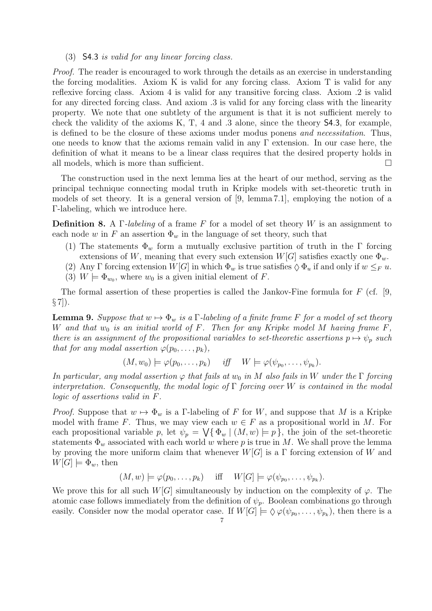## (3) S4.3 is valid for any linear forcing class.

Proof. The reader is encouraged to work through the details as an exercise in understanding the forcing modalities. Axiom K is valid for any forcing class. Axiom T is valid for any reflexive forcing class. Axiom 4 is valid for any transitive forcing class. Axiom .2 is valid for any directed forcing class. And axiom .3 is valid for any forcing class with the linearity property. We note that one subtlety of the argument is that it is not sufficient merely to check the validity of the axioms K, T, 4 and .3 alone, since the theory S4.3, for example, is defined to be the closure of these axioms under modus ponens and necessitation. Thus, one needs to know that the axioms remain valid in any  $\Gamma$  extension. In our case here, the definition of what it means to be a linear class requires that the desired property holds in all models, which is more than sufficient.  $\Box$ 

The construction used in the next lemma lies at the heart of our method, serving as the principal technique connecting modal truth in Kripke models with set-theoretic truth in models of set theory. It is a general version of [9, lemma 7.1], employing the notion of a Γ-labeling, which we introduce here.

**Definition 8.** A Γ-labeling of a frame F for a model of set theory W is an assignment to each node w in F an assertion  $\Phi_w$  in the language of set theory, such that

- (1) The statements  $\Phi_w$  form a mutually exclusive partition of truth in the Γ forcing extensions of W, meaning that every such extension  $W[G]$  satisfies exactly one  $\Phi_w$ .
- (2) Any Γ forcing extension  $W[G]$  in which  $\Phi_w$  is true satisfies  $\Diamond \Phi_u$  if and only if  $w \leq_F u$ .
- (3)  $W \models \Phi_{w_0}$ , where  $w_0$  is a given initial element of F.

The formal assertion of these properties is called the Jankov-Fine formula for  $F$  (cf. [9,  $\S 7$ ).

**Lemma 9.** Suppose that  $w \mapsto \Phi_w$  is a  $\Gamma$ -labeling of a finite frame F for a model of set theory W and that  $w_0$  is an initial world of F. Then for any Kripke model M having frame F, there is an assignment of the propositional variables to set-theoretic assertions  $p \mapsto \psi_p$  such that for any modal assertion  $\varphi(p_0, \ldots, p_k)$ ,

$$
(M, w_0) \models \varphi(p_0, \ldots, p_k) \quad \text{iff} \quad W \models \varphi(\psi_{p_0}, \ldots, \psi_{p_k}).
$$

In particular, any modal assertion  $\varphi$  that fails at  $w_0$  in M also fails in W under the  $\Gamma$  forcing interpretation. Consequently, the modal logic of  $\Gamma$  forcing over W is contained in the modal logic of assertions valid in F.

*Proof.* Suppose that  $w \mapsto \Phi_w$  is a Γ-labeling of F for W, and suppose that M is a Kripke model with frame F. Thus, we may view each  $w \in F$  as a propositional world in M. For each propositional variable p, let  $\psi_p = \bigvee \{ \Phi_w \mid (M, w) \models p \}$ , the join of the set-theoretic statements  $\Phi_w$  associated with each world w where p is true in M. We shall prove the lemma by proving the more uniform claim that whenever  $W[G]$  is a  $\Gamma$  forcing extension of W and  $W[G] \models \Phi_w$ , then

$$
(M, w) \models \varphi(p_0, \dots, p_k)
$$
 iff  $W[G] \models \varphi(\psi_{p_0}, \dots, \psi_{p_k}).$ 

We prove this for all such  $W[G]$  simultaneously by induction on the complexity of  $\varphi$ . The atomic case follows immediately from the definition of  $\psi_p$ . Boolean combinations go through easily. Consider now the modal operator case. If  $W[G] \models \Diamond \varphi(\psi_{p_0}, \ldots, \psi_{p_k}),$  then there is a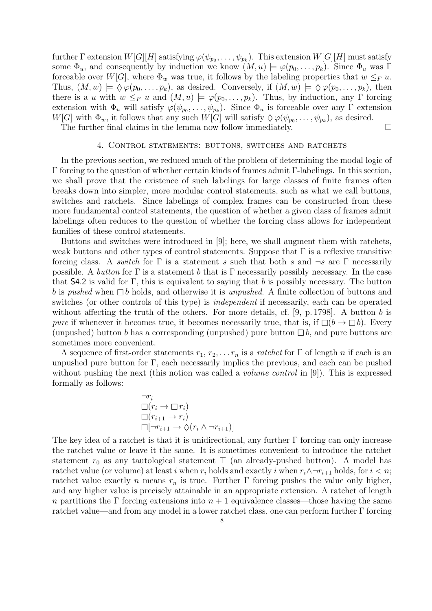further  $\Gamma$  extension  $W[G][H]$  satisfying  $\varphi(\psi_{p_0}, \ldots, \psi_{p_k})$ . This extension  $W[G][H]$  must satisfy some  $\Phi_u$ , and consequently by induction we know  $(M, u) \models \varphi(p_0, \ldots, p_k)$ . Since  $\Phi_u$  was  $\Gamma$ forceable over W[G], where  $\Phi_w$  was true, it follows by the labeling properties that  $w \leq_F u$ . Thus,  $(M, w) \models \Diamond \varphi(p_0, \ldots, p_k)$ , as desired. Conversely, if  $(M, w) \models \Diamond \varphi(p_0, \ldots, p_k)$ , then there is a u with  $w \leq_F u$  and  $(M, u) \models \varphi(p_0, \ldots, p_k)$ . Thus, by induction, any  $\Gamma$  forcing extension with  $\Phi_u$  will satisfy  $\varphi(\psi_{p_0},\ldots,\psi_{p_k})$ . Since  $\Phi_u$  is forceable over any  $\Gamma$  extension  $W[G]$  with  $\Phi_w$ , it follows that any such  $W[G]$  will satisfy  $\Diamond \varphi(\psi_{p_0}, \ldots, \psi_{p_k}),$  as desired.

The further final claims in the lemma now follow immediately.  $\Box$ 

#### 4. Control statements: buttons, switches and ratchets

In the previous section, we reduced much of the problem of determining the modal logic of Γ forcing to the question of whether certain kinds of frames admit Γ-labelings. In this section, we shall prove that the existence of such labelings for large classes of finite frames often breaks down into simpler, more modular control statements, such as what we call buttons, switches and ratchets. Since labelings of complex frames can be constructed from these more fundamental control statements, the question of whether a given class of frames admit labelings often reduces to the question of whether the forcing class allows for independent families of these control statements.

Buttons and switches were introduced in [9]; here, we shall augment them with ratchets, weak buttons and other types of control statements. Suppose that  $\Gamma$  is a reflexive transitive forcing class. A switch for  $\Gamma$  is a statement s such that both s and  $\neg s$  are  $\Gamma$  necessarily possible. A button for  $\Gamma$  is a statement b that is  $\Gamma$  necessarily possibly necessary. In the case that  $\mathsf{S4.2}$  is valid for Γ, this is equivalent to saying that b is possibly necessary. The button b is pushed when  $\Box b$  holds, and otherwise it is unpushed. A finite collection of buttons and switches (or other controls of this type) is independent if necessarily, each can be operated without affecting the truth of the others. For more details, cf.  $[9, p. 1798]$ . A button b is pure if whenever it becomes true, it becomes necessarily true, that is, if  $\Box(b \to \Box b)$ . Every (unpushed) button b has a corresponding (unpushed) pure button  $\Box b$ , and pure buttons are sometimes more convenient.

A sequence of first-order statements  $r_1, r_2, \ldots r_n$  is a *ratchet* for Γ of length n if each is an unpushed pure button for Γ, each necessarily implies the previous, and each can be pushed without pushing the next (this notion was called a *volume control* in [9]). This is expressed formally as follows:

$$
\neg r_i
$$
  
\n
$$
\Box(r_i \to \Box r_i)
$$
  
\n
$$
\Box(r_{i+1} \to r_i)
$$
  
\n
$$
\Box[\neg r_{i+1} \to \Diamond(r_i \land \neg r_{i+1})]
$$

The key idea of a ratchet is that it is unidirectional, any further  $\Gamma$  forcing can only increase the ratchet value or leave it the same. It is sometimes convenient to introduce the ratchet statement  $r_0$  as any tautological statement  $\top$  (an already-pushed button). A model has ratchet value (or volume) at least i when  $r_i$  holds and exactly i when  $r_i \wedge \neg r_{i+1}$  holds, for  $i < n$ ; ratchet value exactly n means  $r_n$  is true. Further Γ forcing pushes the value only higher, and any higher value is precisely attainable in an appropriate extension. A ratchet of length n partitions the Γ forcing extensions into  $n+1$  equivalence classes—those having the same ratchet value—and from any model in a lower ratchet class, one can perform further Γ forcing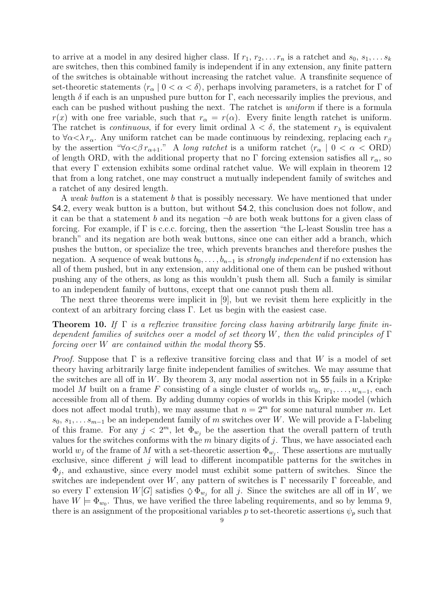to arrive at a model in any desired higher class. If  $r_1, r_2, \ldots r_n$  is a ratchet and  $s_0, s_1, \ldots s_k$ are switches, then this combined family is independent if in any extension, any finite pattern of the switches is obtainable without increasing the ratchet value. A transfinite sequence of set-theoretic statements  $\langle r_{\alpha} | 0 < \alpha < \delta \rangle$ , perhaps involving parameters, is a ratchet for  $\Gamma$  of length  $\delta$  if each is an unpushed pure button for  $\Gamma$ , each necessarily implies the previous, and each can be pushed without pushing the next. The ratchet is *uniform* if there is a formula  $r(x)$  with one free variable, such that  $r_{\alpha} = r(\alpha)$ . Every finite length ratchet is uniform. The ratchet is *continuous*, if for every limit ordinal  $\lambda < \delta$ , the statement  $r_{\lambda}$  is equivalent to  $\forall \alpha < \lambda r_\alpha$ . Any uniform ratchet can be made continuous by reindexing, replacing each  $r_\beta$ by the assertion " $\forall \alpha < \beta r_{\alpha+1}$ ." A long ratchet is a uniform ratchet  $\langle r_{\alpha} | 0 < \alpha <$  ORD) of length ORD, with the additional property that no  $\Gamma$  forcing extension satisfies all  $r_{\alpha}$ , so that every Γ extension exhibits some ordinal ratchet value. We will explain in theorem 12 that from a long ratchet, one may construct a mutually independent family of switches and a ratchet of any desired length.

A weak button is a statement b that is possibly necessary. We have mentioned that under S4.2, every weak button is a button, but without S4.2, this conclusion does not follow, and it can be that a statement b and its negation  $\neg b$  are both weak buttons for a given class of forcing. For example, if  $\Gamma$  is c.c.c. forcing, then the assertion "the L-least Souslin tree has a branch" and its negation are both weak buttons, since one can either add a branch, which pushes the button, or specialize the tree, which prevents branches and therefore pushes the negation. A sequence of weak buttons  $b_0, \ldots, b_{n-1}$  is strongly independent if no extension has all of them pushed, but in any extension, any additional one of them can be pushed without pushing any of the others, as long as this wouldn't push them all. Such a family is similar to an independent family of buttons, except that one cannot push them all.

The next three theorems were implicit in [9], but we revisit them here explicitly in the context of an arbitrary forcing class Γ. Let us begin with the easiest case.

**Theorem 10.** If  $\Gamma$  is a reflexive transitive forcing class having arbitrarily large finite independent families of switches over a model of set theory W, then the valid principles of  $\Gamma$ forcing over W are contained within the modal theory S5.

*Proof.* Suppose that  $\Gamma$  is a reflexive transitive forcing class and that W is a model of set theory having arbitrarily large finite independent families of switches. We may assume that the switches are all off in  $W$ . By theorem 3, any modal assertion not in  $\overline{\mathsf{S5}}$  fails in a Kripke model M built on a frame F consisting of a single cluster of worlds  $w_0, w_1, \ldots, w_{n-1}$ , each accessible from all of them. By adding dummy copies of worlds in this Kripke model (which does not affect modal truth), we may assume that  $n = 2^m$  for some natural number m. Let  $s_0, s_1, \ldots s_{m-1}$  be an independent family of m switches over W. We will provide a Γ-labeling of this frame. For any  $j < 2^m$ , let  $\Phi_{w_j}$  be the assertion that the overall pattern of truth values for the switches conforms with the  $m$  binary digits of  $j$ . Thus, we have associated each world  $w_j$  of the frame of M with a set-theoretic assertion  $\Phi_{w_j}$ . These assertions are mutually exclusive, since different  $j$  will lead to different incompatible patterns for the switches in  $\Phi_j$ , and exhaustive, since every model must exhibit some pattern of switches. Since the switches are independent over W, any pattern of switches is  $\Gamma$  necessarily  $\Gamma$  forceable, and so every  $\Gamma$  extension  $W[G]$  satisfies  $\Diamond \Phi_{w_j}$  for all j. Since the switches are all off in W, we have  $W \models \Phi_{w_0}$ . Thus, we have verified the three labeling requirements, and so by lemma 9, there is an assignment of the propositional variables p to set-theoretic assertions  $\psi_p$  such that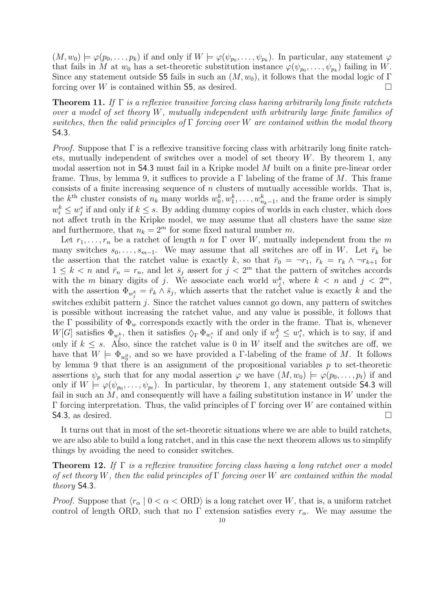$(M, w_0) \models \varphi(p_0, \ldots, p_k)$  if and only if  $W \models \varphi(\psi_{p_0}, \ldots, \psi_{p_k})$ . In particular, any statement  $\varphi$ that fails in M at  $w_0$  has a set-theoretic substitution instance  $\varphi(\psi_{p_0}, \ldots, \psi_{p_k})$  failing in W. Since any statement outside 55 fails in such an  $(M, w_0)$ , it follows that the modal logic of Γ forcing over W is contained within  $\mathsf{S5}$ , as desired.

**Theorem 11.** If  $\Gamma$  is a reflexive transitive forcing class having arbitrarily long finite ratchets over a model of set theory W, mutually independent with arbitrarily large finite families of switches, then the valid principles of  $\Gamma$  forcing over W are contained within the modal theory S4.3.

*Proof.* Suppose that  $\Gamma$  is a reflexive transitive forcing class with arbitrarily long finite ratchets, mutually independent of switches over a model of set theory  $W$ . By theorem 1, any modal assertion not in S4.3 must fail in a Kripke model M built on a finite pre-linear order frame. Thus, by lemma 9, it suffices to provide a  $\Gamma$  labeling of the frame of M. This frame consists of a finite increasing sequence of n clusters of mutually accessible worlds. That is, the  $k^{\text{th}}$  cluster consists of  $n_k$  many worlds  $w_0^k, w_1^k, \ldots, w_{n_k-1}^k$ , and the frame order is simply  $w_i^k \leq w_j^s$  if and only if  $k \leq s$ . By adding dummy copies of worlds in each cluster, which does not affect truth in the Kripke model, we may assume that all clusters have the same size and furthermore, that  $n_k = 2^m$  for some fixed natural number m.

Let  $r_1, \ldots, r_n$  be a ratchet of length n for  $\Gamma$  over W, mutually independent from the m many switches  $s_0, \ldots, s_{m-1}$ . We may assume that all switches are off in W. Let  $\bar{r}_k$  be the assertion that the ratchet value is exactly k, so that  $\bar{r}_0 = \neg r_1, \ \bar{r}_k = r_k \wedge \neg r_{k+1}$  for  $1 \leq k < n$  and  $\bar{r}_n = r_n$ , and let  $\bar{s}_j$  assert for  $j < 2^m$  that the pattern of switches accords with the m binary digits of j. We associate each world  $w_j^k$ , where  $k < n$  and  $j < 2^m$ , with the assertion  $\Phi_{w_j^k} = \bar{r}_k \wedge \bar{s}_j$ , which asserts that the ratchet value is exactly k and the switches exhibit pattern  $j$ . Since the ratchet values cannot go down, any pattern of switches is possible without increasing the ratchet value, and any value is possible, it follows that the Γ possibility of  $\Phi_w$  corresponds exactly with the order in the frame. That is, whenever  $W[G]$  satisfies  $\Phi_{w_j^k}$ , then it satisfies  $\Diamond_{\Gamma} \Phi_{w_i^s}$  if and only if  $w_j^k \leq w_i^s$ , which is to say, if and only if  $k \leq s$ . Also, since the ratchet value is 0 in W itself and the switches are off, we have that  $W \models \Phi_{w_0^0}$ , and so we have provided a *Γ*-labeling of the frame of *M*. It follows by lemma 9 that there is an assignment of the propositional variables  $p$  to set-theoretic assertions  $\psi_p$  such that for any modal assertion  $\varphi$  we have  $(M, w_0) \models \varphi(p_0, \ldots, p_t)$  if and only if  $W \models \varphi(\psi_{p_0}, \ldots, \psi_{p_t})$ . In particular, by theorem 1, any statement outside 54.3 will fail in such an  $M$ , and consequently will have a failing substitution instance in  $W$  under the Γ forcing interpretation. Thus, the valid principles of Γ forcing over W are contained within  $S4.3$ , as desired.

It turns out that in most of the set-theoretic situations where we are able to build ratchets, we are also able to build a long ratchet, and in this case the next theorem allows us to simplify things by avoiding the need to consider switches.

**Theorem 12.** If  $\Gamma$  is a reflexive transitive forcing class having a long ratchet over a model of set theory W, then the valid principles of  $\Gamma$  forcing over W are contained within the modal theory S4.3.

*Proof.* Suppose that  $\langle r_{\alpha} | 0 < \alpha < \text{ORD} \rangle$  is a long ratchet over W, that is, a uniform ratchet control of length ORD, such that no  $\Gamma$  extension satisfies every  $r_{\alpha}$ . We may assume the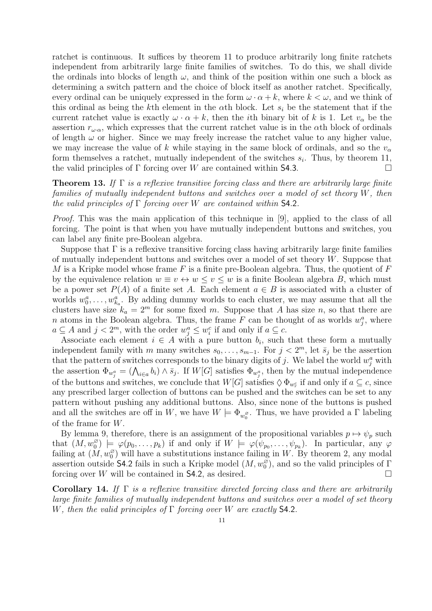ratchet is continuous. It suffices by theorem 11 to produce arbitrarily long finite ratchets independent from arbitrarily large finite families of switches. To do this, we shall divide the ordinals into blocks of length  $\omega$ , and think of the position within one such a block as determining a switch pattern and the choice of block itself as another ratchet. Specifically, every ordinal can be uniquely expressed in the form  $\omega \cdot \alpha + k$ , where  $k < \omega$ , and we think of this ordinal as being the kth element in the  $\alpha$ th block. Let  $s_i$  be the statement that if the current ratchet value is exactly  $\omega \cdot \alpha + k$ , then the *i*th binary bit of k is 1. Let  $v_{\alpha}$  be the assertion  $r_{\omega,\alpha}$ , which expresses that the current ratchet value is in the  $\alpha$ th block of ordinals of length  $\omega$  or higher. Since we may freely increase the ratchet value to any higher value, we may increase the value of k while staying in the same block of ordinals, and so the  $v_{\alpha}$ form themselves a ratchet, mutually independent of the switches  $s_i$ . Thus, by theorem 11, the valid principles of  $\Gamma$  forcing over W are contained within **S4.3**.

**Theorem 13.** If  $\Gamma$  is a reflexive transitive forcing class and there are arbitrarily large finite families of mutually independent buttons and switches over a model of set theory W, then the valid principles of  $\Gamma$  forcing over W are contained within **S4.2**.

Proof. This was the main application of this technique in [9], applied to the class of all forcing. The point is that when you have mutually independent buttons and switches, you can label any finite pre-Boolean algebra.

Suppose that  $\Gamma$  is a reflexive transitive forcing class having arbitrarily large finite families of mutually independent buttons and switches over a model of set theory  $W$ . Suppose that M is a Kripke model whose frame F is a finite pre-Boolean algebra. Thus, the quotient of  $F$ by the equivalence relation  $w \equiv v \leftrightarrow w \leq v \leq w$  is a finite Boolean algebra B, which must be a power set  $P(A)$  of a finite set A. Each element  $a \in B$  is associated with a cluster of worlds  $w_0^a, \ldots, w_{k_a}^a$ . By adding dummy worlds to each cluster, we may assume that all the clusters have size  $k_a = 2^m$  for some fixed m. Suppose that A has size n, so that there are n atoms in the Boolean algebra. Thus, the frame F can be thought of as worlds  $w_j^a$ , where  $a \subseteq A$  and  $j < 2<sup>m</sup>$ , with the order  $w_j^a \leq w_i^c$  if and only if  $a \subseteq c$ .

Associate each element  $i \in A$  with a pure button  $b_i$ , such that these form a mutually independent family with m many switches  $s_0, \ldots, s_{m-1}$ . For  $j < 2^m$ , let  $\bar{s}_j$  be the assertion that the pattern of switches corresponds to the binary digits of j. We label the world  $w_j^a$  with the assertion  $\Phi_{w_j^a} = (\bigwedge_{i \in a} b_i) \wedge \bar{s}_j$ . If  $W[G]$  satisfies  $\Phi_{w_j^a}$ , then by the mutual independence of the buttons and switches, we conclude that  $W[G]$  satisfies  $\Diamond \Phi_{w_r^c}$  if and only if  $a \subseteq c$ , since any prescribed larger collection of buttons can be pushed and the switches can be set to any pattern without pushing any additional buttons. Also, since none of the buttons is pushed and all the switches are off in W, we have  $W \models \Phi_{w_0^{\varnothing}}$ . Thus, we have provided a  $\Gamma$  labeling of the frame for W.

By lemma 9, therefore, there is an assignment of the propositional variables  $p \mapsto \psi_p$  such that  $(M, w_0^{\varnothing}) \models \varphi(p_0, \ldots, p_k)$  if and only if  $W \models \varphi(\psi_{p_0}, \ldots, \psi_{p_k})$ . In particular, any  $\varphi$ failing at  $(M, w_0^{\varnothing})$  will have a substitutions instance failing in W. By theorem 2, any modal assertion outside **S4.2** fails in such a Kripke model  $(M, w_0^{\varnothing})$ , and so the valid principles of  $\Gamma$ forcing over W will be contained in **S4.2**, as desired.  $\Box$ 

Corollary 14. If  $\Gamma$  is a reflexive transitive directed forcing class and there are arbitrarily large finite families of mutually independent buttons and switches over a model of set theory W, then the valid principles of  $\Gamma$  forcing over W are exactly **S4.2.**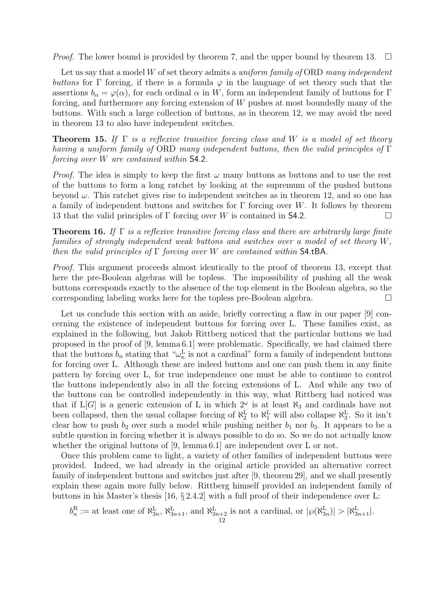*Proof.* The lower bound is provided by theorem 7, and the upper bound by theorem 13.  $\Box$ 

Let us say that a model W of set theory admits a uniform family of ORD many independent buttons for Γ forcing, if there is a formula  $\varphi$  in the language of set theory such that the assertions  $b_{\alpha} = \varphi(\alpha)$ , for each ordinal  $\alpha$  in W, form an independent family of buttons for Γ forcing, and furthermore any forcing extension of W pushes at most boundedly many of the buttons. With such a large collection of buttons, as in theorem 12, we may avoid the need in theorem 13 to also have independent switches.

**Theorem 15.** If  $\Gamma$  is a reflexive transitive forcing class and W is a model of set theory having a uniform family of ORD many independent buttons, then the valid principles of Γ forcing over W are contained within S4.2.

*Proof.* The idea is simply to keep the first  $\omega$  many buttons as buttons and to use the rest of the buttons to form a long ratchet by looking at the supremum of the pushed buttons beyond  $\omega$ . This ratchet gives rise to independent switches as in theorem 12, and so one has a family of independent buttons and switches for  $\Gamma$  forcing over W. It follows by theorem 13 that the valid principles of  $\Gamma$  forcing over W is contained in **S4.2.** 

**Theorem 16.** If  $\Gamma$  is a reflexive transitive forcing class and there are arbitrarily large finite families of strongly independent weak buttons and switches over a model of set theory W, then the valid principles of  $\Gamma$  forcing over W are contained within S4.tBA.

Proof. This argument proceeds almost identically to the proof of theorem 13, except that here the pre-Boolean algebras will be topless. The impossibility of pushing all the weak buttons corresponds exactly to the absence of the top element in the Boolean algebra, so the corresponding labeling works here for the topless pre-Boolean algebra.

Let us conclude this section with an aside, briefly correcting a flaw in our paper [9] concerning the existence of independent buttons for forcing over L. These families exist, as explained in the following, but Jakob Rittberg noticed that the particular buttons we had proposed in the proof of [9, lemma 6.1] were problematic. Specifically, we had claimed there that the buttons  $b_n$  stating that " $\omega_n^{\text{L}}$  is not a cardinal" form a family of independent buttons for forcing over L. Although these are indeed buttons and one can push them in any finite pattern by forcing over L, for true independence one must be able to continue to control the buttons independently also in all the forcing extensions of L. And while any two of the buttons can be controlled independently in this way, what Rittberg had noticed was that if  $L[G]$  is a generic extension of L in which  $2^{\omega}$  is at least  $\aleph_3$  and cardinals have not been collapsed, then the usual collapse forcing of  $\aleph_2^L$  to  $\aleph_1^L$  will also collapse  $\aleph_3^L$ . So it isn't clear how to push  $b_2$  over such a model while pushing neither  $b_1$  nor  $b_3$ . It appears to be a subtle question in forcing whether it is always possible to do so. So we do not actually know whether the original buttons of  $[9, \text{lemma } 6.1]$  are independent over L or not.

Once this problem came to light, a variety of other families of independent buttons were provided. Indeed, we had already in the original article provided an alternative correct family of independent buttons and switches just after [9, theorem 29], and we shall presently explain these again more fully below. Rittberg himself provided an independent family of buttons in his Master's thesis [16,  $\S 2.4.2$ ] with a full proof of their independence over L:

$$
b_n^R :=
$$
 at least one of  $\aleph_{3n}^L$ ,  $\aleph_{3n+1}^L$ , and  $\aleph_{3n+2}^L$  is not a cardinal, or  $|\wp(\aleph_{3n}^L)| > |\aleph_{3n+1}^L|$ .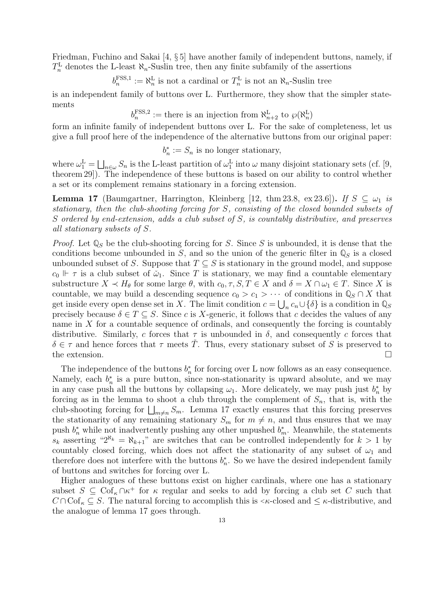Friedman, Fuchino and Sakai [4, § 5] have another family of independent buttons, namely, if  $T_n^{\text{L}}$  denotes the L-least  $\aleph_n$ -Suslin tree, then any finite subfamily of the assertions

 $b_n^{\text{FSS},1} := \aleph_n^{\text{L}}$  is not a cardinal or  $T_n^{\text{L}}$  is not an  $\aleph_n$ -Suslin tree

is an independent family of buttons over L. Furthermore, they show that the simpler statements

 $b_n^{\text{FSS,2}} :=$  there is an injection from  $\aleph_{n+2}^{\text{L}}$  to  $\wp(\aleph_n^{\text{L}})$ 

form an infinite family of independent buttons over L. For the sake of completeness, let us give a full proof here of the independence of the alternative buttons from our original paper:

 $b_n^* := S_n$  is no longer stationary,

where  $\omega_1^L = \bigsqcup_{n \in \omega} S_n$  is the L-least partition of  $\omega_1^L$  into  $\omega$  many disjoint stationary sets (cf. [9, theorem 29]). The independence of these buttons is based on our ability to control whether a set or its complement remains stationary in a forcing extension.

**Lemma 17** (Baumgartner, Harrington, Kleinberg [12, thm 23.8, ex 23.6]). If  $S \subseteq \omega_1$  is stationary, then the club-shooting forcing for S, consisting of the closed bounded subsets of S ordered by end-extension, adds a club subset of S, is countably distributive, and preserves all stationary subsets of S.

*Proof.* Let  $\mathbb{Q}_S$  be the club-shooting forcing for S. Since S is unbounded, it is dense that the conditions become unbounded in S, and so the union of the generic filter in  $\mathbb{Q}_S$  is a closed unbounded subset of S. Suppose that  $T \subseteq S$  is stationary in the ground model, and suppose  $c_0$   $\Vdash \tau$  is a club subset of  $\check{\omega}_1$ . Since T is stationary, we may find a countable elementary substructure  $X \prec H_{\theta}$  for some large  $\theta$ , with  $c_0, \tau, S, T \in X$  and  $\delta = X \cap \omega_1 \in T$ . Since X is countable, we may build a descending sequence  $c_0 > c_1 > \cdots$  of conditions in  $\mathbb{Q}_S \cap X$  that get inside every open dense set in X. The limit condition  $c = \bigcup_n c_n \cup \{\delta\}$  is a condition in  $\mathbb{Q}_S$ precisely because  $\delta \in T \subseteq S$ . Since c is X-generic, it follows that c decides the values of any name in  $X$  for a countable sequence of ordinals, and consequently the forcing is countably distributive. Similarly, c forces that  $\tau$  is unbounded in  $\delta$ , and consequently c forces that  $\delta \in \tau$  and hence forces that  $\tau$  meets T. Thus, every stationary subset of S is preserved to the extension.

The independence of the buttons  $b_n^*$  for forcing over L now follows as an easy consequence. Namely, each  $b_n^*$  is a pure button, since non-stationarity is upward absolute, and we may in any case push all the buttons by collapsing  $\omega_1$ . More delicately, we may push just  $b_n^*$  by forcing as in the lemma to shoot a club through the complement of  $S_n$ , that is, with the club-shooting forcing for  $\bigsqcup_{m\neq n}S_m$ . Lemma 17 exactly ensures that this forcing preserves the stationarity of any remaining stationary  $S_m$  for  $m \neq n$ , and thus ensures that we may push  $b_n^*$  while not inadvertently pushing any other unpushed  $b_m^*$ . Meanwhile, the statements  $s_k$  asserting " $2^{\aleph_k} = \aleph_{k+1}$ " are switches that can be controlled independently for  $k > 1$  by countably closed forcing, which does not affect the stationarity of any subset of  $\omega_1$  and therefore does not interfere with the buttons  $b_n^*$ . So we have the desired independent family of buttons and switches for forcing over L.

Higher analogues of these buttons exist on higher cardinals, where one has a stationary subset  $S \subseteq \text{Cof}_{\kappa} \cap \kappa^+$  for  $\kappa$  regular and seeks to add by forcing a club set C such that  $C \cap \mathrm{Cof}_{\kappa} \subseteq S$ . The natural forcing to accomplish this is < $\kappa$ -closed and  $\leq \kappa$ -distributive, and the analogue of lemma 17 goes through.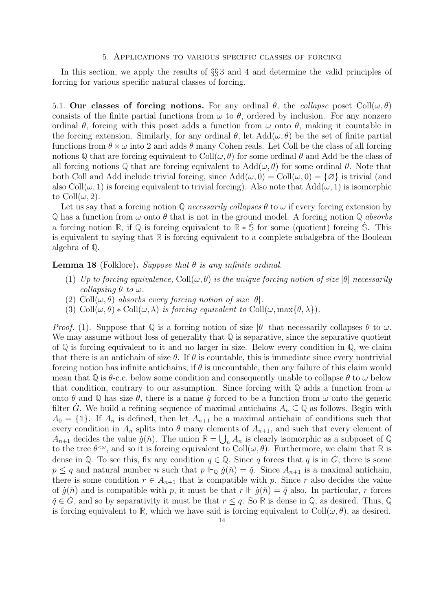#### 5. Applications to various specific classes of forcing

In this section, we apply the results of §§ 3 and 4 and determine the valid principles of forcing for various specific natural classes of forcing.

5.1. Our classes of forcing notions. For any ordinal  $\theta$ , the collapse poset Coll $(\omega, \theta)$ consists of the finite partial functions from  $\omega$  to  $\theta$ , ordered by inclusion. For any nonzero ordinal  $\theta$ , forcing with this poset adds a function from  $\omega$  onto  $\theta$ , making it countable in the forcing extension. Similarly, for any ordinal  $\theta$ , let  $Add(\omega, \theta)$  be the set of finite partial functions from  $\theta \times \omega$  into 2 and adds  $\theta$  many Cohen reals. Let Coll be the class of all forcing notions Q that are forcing equivalent to  $Coll(\omega, \theta)$  for some ordinal  $\theta$  and Add be the class of all forcing notions Q that are forcing equivalent to  $Add(\omega, \theta)$  for some ordinal  $\theta$ . Note that both Coll and Add include trivial forcing, since  $Add(\omega, 0) = Coll(\omega, 0) = {\emptyset}$  is trivial (and also Coll $(\omega, 1)$  is forcing equivalent to trivial forcing). Also note that  $Add(\omega, 1)$  is isomorphic to Coll $(\omega, 2)$ .

Let us say that a forcing notion  $\mathbb Q$  necessarily collapses  $\theta$  to  $\omega$  if every forcing extension by  $\mathbb{Q}$  has a function from  $\omega$  onto  $\theta$  that is not in the ground model. A forcing notion  $\mathbb{Q}$  absorbs a forcing notion **R**, if **Q** is forcing equivalent to **R** ∗ **S**˙ for some (quotient) forcing **S**˙ . This is equivalent to saying that **R** is forcing equivalent to a complete subalgebra of the Boolean algebra of **Q**.

## **Lemma 18** (Folklore). Suppose that  $\theta$  is any infinite ordinal.

- (1) Up to forcing equivalence, Coll $(\omega, \theta)$  is the unique forcing notion of size  $|\theta|$  necessarily collapsing  $\theta$  to  $\omega$ .
- (2) Coll $(\omega, \theta)$  absorbs every forcing notion of size  $|\theta|$ .
- (3) Coll $(\omega, \theta) *$ Coll $(\omega, \lambda)$  is forcing equivalent to Coll $(\omega, \max{\lbrace \theta, \lambda \rbrace})$ .

Proof. (1). Suppose that  $\mathbb Q$  is a forcing notion of size  $|\theta|$  that necessarily collapses  $\theta$  to  $\omega$ . We may assume without loss of generality that **Q** is separative, since the separative quotient of  $\mathbb Q$  is forcing equivalent to it and no larger in size. Below every condition in  $\mathbb Q$ , we claim that there is an antichain of size  $\theta$ . If  $\theta$  is countable, this is immediate since every nontrivial forcing notion has infinite antichains; if  $\theta$  is uncountable, then any failure of this claim would mean that Q is  $\theta$ -c.c. below some condition and consequently unable to collapse  $\theta$  to  $\omega$  below that condition, contrary to our assumption. Since forcing with  $\mathbb Q$  adds a function from  $\omega$ onto  $\theta$  and  $\mathbb Q$  has size  $\theta$ , there is a name  $\dot{g}$  forced to be a function from  $\omega$  onto the generic filter  $\dot{G}$ . We build a refining sequence of maximal antichains  $A_n \subseteq \mathbb{Q}$  as follows. Begin with  $A_0 = {\text{1}}$ . If  $A_n$  is defined, then let  $A_{n+1}$  be a maximal antichain of conditions such that every condition in  $A_n$  splits into  $\theta$  many elements of  $A_{n+1}$ , and such that every element of  $A_{n+1}$  decides the value  $\dot{g}(\check{n})$ . The union  $\mathbb{R} = \bigcup_n A_n$  is clearly isomorphic as a subposet of Q to the tree  $\theta^{\leq \omega}$ , and so it is forcing equivalent to  $Coll(\omega, \theta)$ . Furthermore, we claim that  $\mathbb R$  is dense in  $\mathbb Q$ . To see this, fix any condition  $q \in \mathbb Q$ . Since q forces that q is in  $\dot{G}$ , there is some  $p \leq q$  and natural number n such that  $p \Vdash_{\mathbb{Q}} \dot{g}(\check{n}) = \check{q}$ . Since  $A_{n+1}$  is a maximal antichain, there is some condition  $r \in A_{n+1}$  that is compatible with p. Since r also decides the value of  $\dot{g}(\check{n})$  and is compatible with p, it must be that  $r \Vdash \dot{g}(\check{n}) = \check{q}$  also. In particular, r forces  $\check{q} \in \dot{G}$ , and so by separativity it must be that  $r \leq q$ . So **R** is dense in Q, as desired. Thus, Q is forcing equivalent to **R**, which we have said is forcing equivalent to  $Coll(\omega, \theta)$ , as desired.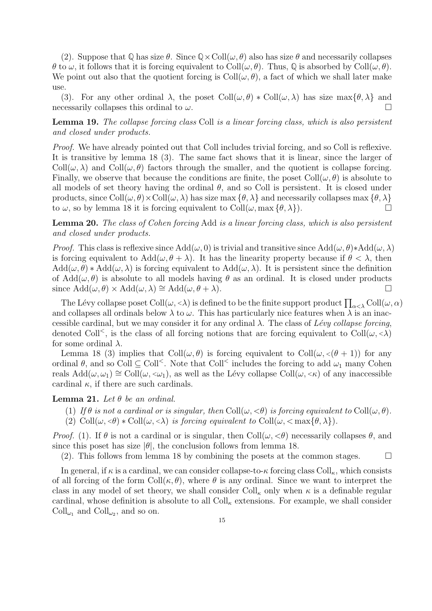(2). Suppose that  $\mathbb{Q}$  has size  $\theta$ . Since  $\mathbb{Q}\times\text{Coll}(\omega,\theta)$  also has size  $\theta$  and necessarily collapses  $\theta$  to  $\omega$ , it follows that it is forcing equivalent to Coll $(\omega, \theta)$ . Thus,  $\mathbb Q$  is absorbed by Coll $(\omega, \theta)$ . We point out also that the quotient forcing is  $Coll(\omega, \theta)$ , a fact of which we shall later make use.

(3). For any other ordinal  $\lambda$ , the poset Coll $(\omega, \theta) * \text{Coll}(\omega, \lambda)$  has size max $\{\theta, \lambda\}$  and necessarily collapses this ordinal to  $\omega$ .

Lemma 19. The collapse forcing class Coll is a linear forcing class, which is also persistent and closed under products.

Proof. We have already pointed out that Coll includes trivial forcing, and so Coll is reflexive. It is transitive by lemma 18 (3). The same fact shows that it is linear, since the larger of  $\text{Coll}(\omega, \lambda)$  and  $\text{Coll}(\omega, \theta)$  factors through the smaller, and the quotient is collapse forcing. Finally, we observe that because the conditions are finite, the poset  $Coll(\omega, \theta)$  is absolute to all models of set theory having the ordinal  $\theta$ , and so Coll is persistent. It is closed under products, since  $Coll(\omega, \theta) \times Coll(\omega, \lambda)$  has size max  $\{\theta, \lambda\}$  and necessarily collapses max  $\{\theta, \lambda\}$ to  $\omega$ , so by lemma 18 it is forcing equivalent to Coll $(\omega, \max{\{\theta, \lambda\}})$ .

Lemma 20. The class of Cohen forcing Add is a linear forcing class, which is also persistent and closed under products.

*Proof.* This class is reflexive since  $Add(\omega, 0)$  is trivial and transitive since  $Add(\omega, \theta) * Add(\omega, \lambda)$ is forcing equivalent to  $Add(\omega, \theta + \lambda)$ . It has the linearity property because if  $\theta < \lambda$ , then  $Add(\omega, \theta) * Add(\omega, \lambda)$  is forcing equivalent to  $Add(\omega, \lambda)$ . It is persistent since the definition of  $Add(\omega, \theta)$  is absolute to all models having  $\theta$  as an ordinal. It is closed under products since  $\text{Add}(\omega, \theta) \times \text{Add}(\omega, \lambda) \cong \text{Add}(\omega, \theta + \lambda).$ 

The Lévy collapse poset  $\mathrm{Coll}(\omega,<\lambda)$  is defined to be the finite support product  $\prod_{\alpha<\lambda}\mathrm{Coll}(\omega,\alpha)$ and collapses all ordinals below  $\lambda$  to  $\omega$ . This has particularly nice features when  $\lambda$  is an inaccessible cardinal, but we may consider it for any ordinal  $\lambda$ . The class of Lévy collapse forcing, denoted Coll<sup> $\lt$ </sup>, is the class of all forcing notions that are forcing equivalent to Coll $(\omega, \lt{\lambda})$ for some ordinal  $\lambda$ .

Lemma 18 (3) implies that  $Coll(\omega, \theta)$  is forcing equivalent to  $Coll(\omega, \langle \theta + 1 \rangle)$  for any ordinal  $\theta$ , and so Coll  $\subseteq$  Coll<sup><</sup>. Note that Coll<sup><</sup> includes the forcing to add  $\omega_1$  many Cohen reals  $Add(\omega, \omega_1) \cong Coll(\omega, \langle \omega_1 \rangle)$ , as well as the Lévy collapse  $Coll(\omega, \langle \kappa \rangle)$  of any inaccessible cardinal  $\kappa$ , if there are such cardinals.

## **Lemma 21.** Let  $\theta$  be an ordinal.

- (1) If  $\theta$  is not a cardinal or is singular, then Coll $(\omega, \langle \theta \rangle)$  is forcing equivalent to Coll $(\omega, \theta)$ .
- (2)  $\text{Coll}(\omega, \langle \theta \rangle * \text{Coll}(\omega, \langle \lambda \rangle))$  is forcing equivalent to  $\text{Coll}(\omega, \langle \max{\{\theta, \lambda\}}\rangle)$ .

*Proof.* (1). If  $\theta$  is not a cardinal or is singular, then Coll $(\omega, \langle \theta \rangle)$  necessarily collapses  $\theta$ , and since this poset has size  $|\theta|$ , the conclusion follows from lemma 18.

(2). This follows from lemma 18 by combining the posets at the common stages.  $\square$ 

In general, if  $\kappa$  is a cardinal, we can consider collapse-to- $\kappa$  forcing class Coll<sub> $\kappa$ </sub>, which consists of all forcing of the form  $Coll(\kappa, \theta)$ , where  $\theta$  is any ordinal. Since we want to interpret the class in any model of set theory, we shall consider Coll<sub>k</sub> only when  $\kappa$  is a definable regular cardinal, whose definition is absolute to all  $Coll_{\kappa}$  extensions. For example, we shall consider  $Coll_{\omega_1}$  and  $Coll_{\omega_2}$ , and so on.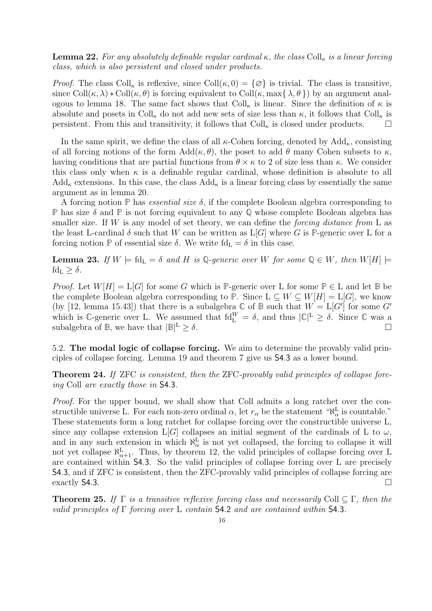**Lemma 22.** For any absolutely definable regular cardinal  $\kappa$ , the class Coll<sub> $\kappa$ </sub> is a linear forcing class, which is also persistent and closed under products.

*Proof.* The class Coll<sub>k</sub> is reflexive, since Coll $(\kappa, 0) = {\emptyset}$  is trivial. The class is transitive, since  $Coll(\kappa, \lambda) * Coll(\kappa, \theta)$  is forcing equivalent to  $Coll(\kappa, \max{\lambda, \theta})$  by an argument analogous to lemma 18. The same fact shows that  $Coll_{\kappa}$  is linear. Since the definition of  $\kappa$  is absolute and posets in Coll<sub>k</sub> do not add new sets of size less than  $\kappa$ , it follows that Coll<sub>k</sub> is persistent. From this and transitivity, it follows that  $Coll_{\kappa}$  is closed under products.

In the same spirit, we define the class of all  $\kappa$ -Cohen forcing, denoted by  $\text{Add}_{\kappa}$ , consisting of all forcing notions of the form  $Add(\kappa, \theta)$ , the poset to add  $\theta$  many Cohen subsets to  $\kappa$ , having conditions that are partial functions from  $\theta \times \kappa$  to 2 of size less than  $\kappa$ . We consider this class only when  $\kappa$  is a definable regular cardinal, whose definition is absolute to all  $\text{Add}_{\kappa}$  extensions. In this case, the class  $\text{Add}_{\kappa}$  is a linear forcing class by essentially the same argument as in lemma 20.

A forcing notion **P** has essential size δ, if the complete Boolean algebra corresponding to **P** has size δ and **P** is not forcing equivalent to any **Q** whose complete Boolean algebra has smaller size. If W is any model of set theory, we can define the *forcing distance from* L as the least L-cardinal  $\delta$  such that W can be written as  $L[G]$  where G is P-generic over L for a forcing notion **P** of essential size  $\delta$ . We write fd<sub>L</sub> =  $\delta$  in this case.

**Lemma 23.** If  $W \models \text{fd}_{\text{L}} = \delta$  and H is Q-generic over W for some  $Q \in W$ , then  $W[H] \models$  $fd_L > \delta$ .

*Proof.* Let  $W[H] = L[G]$  for some G which is **P**-generic over L for some  $P \in L$  and let B be the complete Boolean algebra corresponding to **P**. Since  $L \subseteq W \subseteq W[H] = L[G]$ , we know (by [12, lemma 15.43]) that there is a subalgebra  $\mathbb C$  of  $\mathbb B$  such that  $W = L[G']$  for some  $G'$ which is C-generic over L. We assumed that  $fd_L^W = \delta$ , and thus  $|C|^L \geq \delta$ . Since C was a subalgebra of **B**, we have that  $|\mathbb{B}|^{\mathbb{L}} > \delta$ .  $\Delta^{\text{L}} \geq \delta.$ 

5.2. The modal logic of collapse forcing. We aim to determine the provably valid principles of collapse forcing. Lemma 19 and theorem 7 give us S4.3 as a lower bound.

Theorem 24. If ZFC is consistent, then the ZFC-provably valid principles of collapse forcing Coll are exactly those in S4.3.

Proof. For the upper bound, we shall show that Coll admits a long ratchet over the constructible universe L. For each non-zero ordinal  $\alpha$ , let  $r_{\alpha}$  be the statement " $\aleph_{\alpha}^{\mathbf{L}}$  is countable." These statements form a long ratchet for collapse forcing over the constructible universe L, since any collapse extension L[G] collapses an initial segment of the cardinals of L to  $\omega$ , and in any such extension in which  $\aleph_{\alpha}^{\mathcal{L}}$  is not yet collapsed, the forcing to collapse it will not yet collapse  $\aleph_{\alpha+1}^{\mathbf{L}}$ . Thus, by theorem 12, the valid principles of collapse forcing over L are contained within S4.3. So the valid principles of collapse forcing over L are precisely S4.3, and if ZFC is consistent, then the ZFC-provably valid principles of collapse forcing are exactly S4.3.  $\Box$ 

**Theorem 25.** If  $\Gamma$  is a transitive reflexive forcing class and necessarily Coll  $\subset \Gamma$ , then the valid principles of  $\Gamma$  forcing over L contain S4.2 and are contained within S4.3.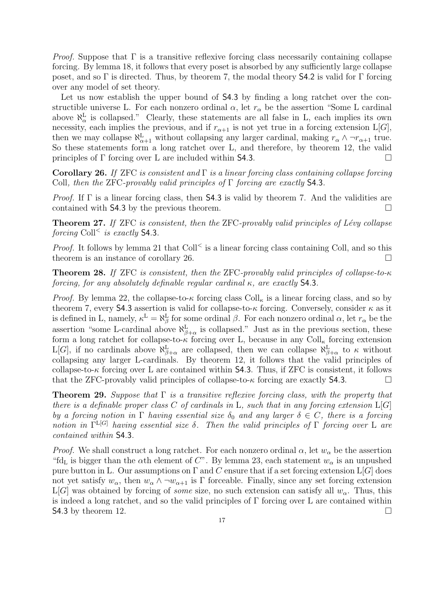*Proof.* Suppose that  $\Gamma$  is a transitive reflexive forcing class necessarily containing collapse forcing. By lemma 18, it follows that every poset is absorbed by any sufficiently large collapse poset, and so  $\Gamma$  is directed. Thus, by theorem 7, the modal theory **S4.2** is valid for  $\Gamma$  forcing over any model of set theory.

Let us now establish the upper bound of S4.3 by finding a long ratchet over the constructible universe L. For each nonzero ordinal  $\alpha$ , let  $r_{\alpha}$  be the assertion "Some L cardinal" above  $\aleph_{\alpha}^{\text{L}}$  is collapsed." Clearly, these statements are all false in L, each implies its own necessity, each implies the previous, and if  $r_{\alpha+1}$  is not yet true in a forcing extension L[G], then we may collapse  $\aleph_{\alpha+1}^L$  without collapsing any larger cardinal, making  $r_\alpha \wedge \neg r_{\alpha+1}$  true. So these statements form a long ratchet over L, and therefore, by theorem 12, the valid principles of  $\Gamma$  forcing over L are included within **S4.3**.

Corollary 26. If ZFC is consistent and  $\Gamma$  is a linear forcing class containing collapse forcing Coll, then the ZFC-provably valid principles of  $\Gamma$  forcing are exactly **S4.3.** 

*Proof.* If  $\Gamma$  is a linear forcing class, then **S4.3** is valid by theorem 7. And the validities are contained with S4.3 by the previous theorem.

**Theorem 27.** If ZFC is consistent, then the ZFC-provably valid principles of Lévy collapse forcing Coll<sup><</sup> is exactly **S4.3**.

*Proof.* It follows by lemma 21 that  $Coll<sup>′</sup>$  is a linear forcing class containing Coll, and so this theorem is an instance of corollary 26.  $\Box$ 

Theorem 28. If ZFC is consistent, then the ZFC-provably valid principles of collapse-to-κ forcing, for any absolutely definable regular cardinal  $\kappa$ , are exactly **S4.3**.

*Proof.* By lemma 22, the collapse-to- $\kappa$  forcing class Coll<sub> $\kappa$ </sub> is a linear forcing class, and so by theorem 7, every S4.3 assertion is valid for collapse-to- $\kappa$  forcing. Conversely, consider  $\kappa$  as it is defined in L, namely,  $\kappa^L = \aleph_{\beta}^L$  for some ordinal  $\beta$ . For each nonzero ordinal  $\alpha$ , let  $r_{\alpha}$  be the assertion "some L-cardinal above  $\aleph_{\beta+\alpha}^{\text{L}}$  is collapsed." Just as in the previous section, these form a long ratchet for collapse-to- $\kappa$  forcing over L, because in any Coll<sub> $\kappa$ </sub> forcing extension L[G], if no cardinals above  $\aleph_{\beta+\alpha}^{\mathcal{L}}$  are collapsed, then we can collapse  $\aleph_{\beta+\alpha}^{\mathcal{L}}$  to  $\kappa$  without collapsing any larger L-cardinals. By theorem 12, it follows that the valid principles of collapse-to- $\kappa$  forcing over L are contained within S4.3. Thus, if ZFC is consistent, it follows that the ZFC-provably valid principles of collapse-to- $\kappa$  forcing are exactly **S4.3**.

**Theorem 29.** Suppose that  $\Gamma$  is a transitive reflexive forcing class, with the property that there is a definable proper class C of cardinals in L, such that in any forcing extension  $L[G]$ by a forcing notion in  $\Gamma$  having essential size  $\delta_0$  and any larger  $\delta \in C$ , there is a forcing notion in  $\Gamma^{L[G]}$  having essential size  $\delta$ . Then the valid principles of  $\Gamma$  forcing over L are contained within S4.3.

*Proof.* We shall construct a long ratchet. For each nonzero ordinal  $\alpha$ , let  $w_{\alpha}$  be the assertion "fd<sub>L</sub> is bigger than the  $\alpha$ th element of C". By lemma 23, each statement  $w_{\alpha}$  is an unpushed pure button in L. Our assumptions on  $\Gamma$  and C ensure that if a set forcing extension  $\mathcal{L}[G]$  does not yet satisfy  $w_{\alpha}$ , then  $w_{\alpha} \wedge \neg w_{\alpha+1}$  is  $\Gamma$  forceable. Finally, since any set forcing extension L[G] was obtained by forcing of *some* size, no such extension can satisfy all  $w_\alpha$ . Thus, this is indeed a long ratchet, and so the valid principles of  $\Gamma$  forcing over L are contained within **S4.3** by theorem 12.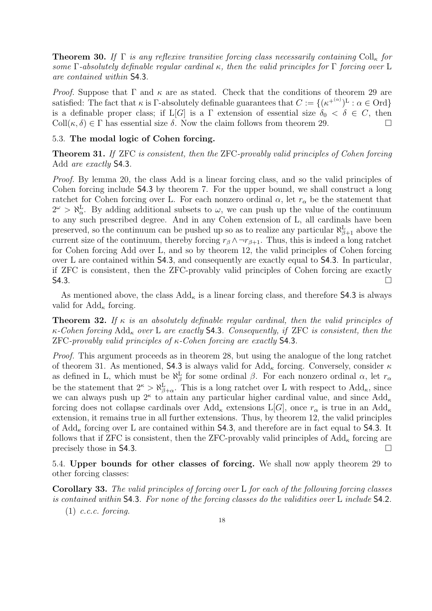**Theorem 30.** If  $\Gamma$  is any reflexive transitive forcing class necessarily containing Coll<sub>k</sub> for some  $\Gamma$ -absolutely definable regular cardinal κ, then the valid principles for  $\Gamma$  forcing over L are contained within S4.3.

*Proof.* Suppose that  $\Gamma$  and  $\kappa$  are as stated. Check that the conditions of theorem 29 are satisfied: The fact that  $\kappa$  is  $\Gamma$ -absolutely definable guarantees that  $C := \{(\kappa^{+(\alpha)})^{\mathbb{L}} : \alpha \in \text{Ord}\}$ is a definable proper class; if  $L[G]$  is a  $\Gamma$  extension of essential size  $\delta_0 < \delta \in C$ , then Coll $(\kappa, \delta) \in \Gamma$  has essential size  $\delta$ . Now the claim follows from theorem 29.

# 5.3. The modal logic of Cohen forcing.

Theorem 31. If ZFC is consistent, then the ZFC-provably valid principles of Cohen forcing Add are exactly S4.3.

Proof. By lemma 20, the class Add is a linear forcing class, and so the valid principles of Cohen forcing include S4.3 by theorem 7. For the upper bound, we shall construct a long ratchet for Cohen forcing over L. For each nonzero ordinal  $\alpha$ , let  $r_{\alpha}$  be the statement that  $2^{\omega} > \aleph_{\alpha}^{\mathcal{L}}$ . By adding additional subsets to  $\omega$ , we can push up the value of the continuum to any such prescribed degree. And in any Cohen extension of L, all cardinals have been preserved, so the continuum can be pushed up so as to realize any particular  $\aleph_{\beta+1}^{\mathcal{L}}$  above the current size of the continuum, thereby forcing  $r_\beta \wedge \neg r_{\beta+1}$ . Thus, this is indeed a long ratchet for Cohen forcing Add over L, and so by theorem 12, the valid principles of Cohen forcing over L are contained within S4.3, and consequently are exactly equal to S4.3. In particular, if ZFC is consistent, then the ZFC-provably valid principles of Cohen forcing are exactly  $\mathsf{S4.3.}$ 

As mentioned above, the class  $Add_{\kappa}$  is a linear forcing class, and therefore **S4.3** is always valid for  $\text{Add}_{\kappa}$  forcing.

**Theorem 32.** If  $\kappa$  is an absolutely definable regular cardinal, then the valid principles of  $\kappa$ -Cohen forcing Add<sub>k</sub> over L are exactly **S4.3**. Consequently, if ZFC is consistent, then the  $ZFC-provably valid principles of \kappa- Cohen forcing are exactly S4.3.$ 

Proof. This argument proceeds as in theorem 28, but using the analogue of the long ratchet of theorem 31. As mentioned, 54.3 is always valid for Add<sub>k</sub> forcing. Conversely, consider  $\kappa$ as defined in L, which must be  $\aleph_{\beta}^{\mathbf{L}}$  for some ordinal  $\beta$ . For each nonzero ordinal  $\alpha$ , let  $r_{\alpha}$ be the statement that  $2^{\kappa} > \aleph_{\beta+\alpha}^{\mathcal{L}}$ . This is a long ratchet over L with respect to  $\text{Add}_{\kappa}$ , since we can always push up  $2^{\kappa}$  to attain any particular higher cardinal value, and since  $\text{Add}_{\kappa}$ forcing does not collapse cardinals over  $\text{Add}_{\kappa}$  extensions  $\text{L}[G]$ , once  $r_{\alpha}$  is true in an  $\text{Add}_{\kappa}$ extension, it remains true in all further extensions. Thus, by theorem 12, the valid principles of  $\text{Add}_{\kappa}$  forcing over L are contained within **S4.3**, and therefore are in fact equal to **S4.3**. It follows that if ZFC is consistent, then the ZFC-provably valid principles of  $\text{Add}_{\kappa}$  forcing are precisely those in S4.3.

5.4. Upper bounds for other classes of forcing. We shall now apply theorem 29 to other forcing classes:

Corollary 33. The valid principles of forcing over L for each of the following forcing classes is contained within S4.3. For none of the forcing classes do the validities over L include S4.2.

 $(1)$  c.c.c. forcing.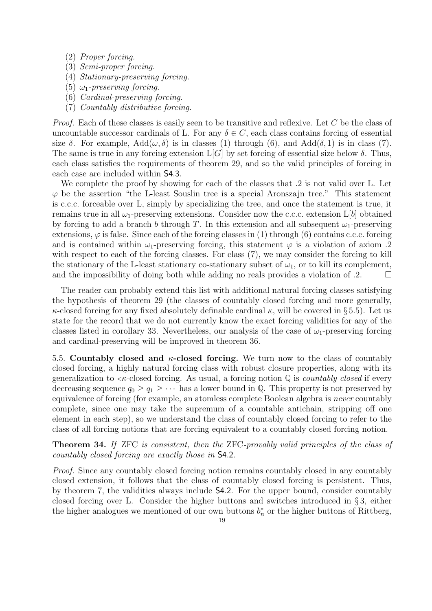- (2) Proper forcing.
- (3) Semi-proper forcing.
- (4) Stationary-preserving forcing.
- (5)  $\omega_1$ -preserving forcing.
- (6) Cardinal-preserving forcing.
- (7) Countably distributive forcing.

Proof. Each of these classes is easily seen to be transitive and reflexive. Let C be the class of uncountable successor cardinals of L. For any  $\delta \in C$ , each class contains forcing of essential size  $\delta$ . For example, Add $(\omega, \delta)$  is in classes (1) through (6), and Add( $\delta$ , 1) is in class (7). The same is true in any forcing extension  $L[G]$  by set forcing of essential size below  $\delta$ . Thus, each class satisfies the requirements of theorem 29, and so the valid principles of forcing in each case are included within S4.3.

We complete the proof by showing for each of the classes that .2 is not valid over L. Let  $\varphi$  be the assertion "the L-least Souslin tree is a special Aronszajn tree." This statement is c.c.c. forceable over L, simply by specializing the tree, and once the statement is true, it remains true in all  $\omega_1$ -preserving extensions. Consider now the c.c.c. extension L[b] obtained by forcing to add a branch b through T. In this extension and all subsequent  $\omega_1$ -preserving extensions,  $\varphi$  is false. Since each of the forcing classes in (1) through (6) contains c.c.c. forcing and is contained within  $\omega_1$ -preserving forcing, this statement  $\varphi$  is a violation of axiom .2 with respect to each of the forcing classes. For class  $(7)$ , we may consider the forcing to kill the stationary of the L-least stationary co-stationary subset of  $\omega_1$ , or to kill its complement, and the impossibility of doing both while adding no reals provides a violation of  $\alpha$ .

The reader can probably extend this list with additional natural forcing classes satisfying the hypothesis of theorem 29 (the classes of countably closed forcing and more generally,  $\kappa$ -closed forcing for any fixed absolutely definable cardinal  $\kappa$ , will be covered in § 5.5). Let us state for the record that we do not currently know the exact forcing validities for any of the classes listed in corollary 33. Nevertheless, our analysis of the case of  $\omega_1$ -preserving forcing and cardinal-preserving will be improved in theorem 36.

5.5. Countably closed and  $\kappa$ -closed forcing. We turn now to the class of countably closed forcing, a highly natural forcing class with robust closure properties, along with its generalization to  $\lt \kappa$ -closed forcing. As usual, a forcing notion Q is *countably closed* if every decreasing sequence  $q_0 \geq q_1 \geq \cdots$  has a lower bound in  $\mathbb Q$ . This property is not preserved by equivalence of forcing (for example, an atomless complete Boolean algebra is never countably complete, since one may take the supremum of a countable antichain, stripping off one element in each step), so we understand the class of countably closed forcing to refer to the class of all forcing notions that are forcing equivalent to a countably closed forcing notion.

Theorem 34. If ZFC is consistent, then the ZFC-provably valid principles of the class of countably closed forcing are exactly those in S4.2.

Proof. Since any countably closed forcing notion remains countably closed in any countably closed extension, it follows that the class of countably closed forcing is persistent. Thus, by theorem 7, the validities always include S4.2. For the upper bound, consider countably closed forcing over L. Consider the higher buttons and switches introduced in § 3, either the higher analogues we mentioned of our own buttons  $b_n^*$  or the higher buttons of Rittberg,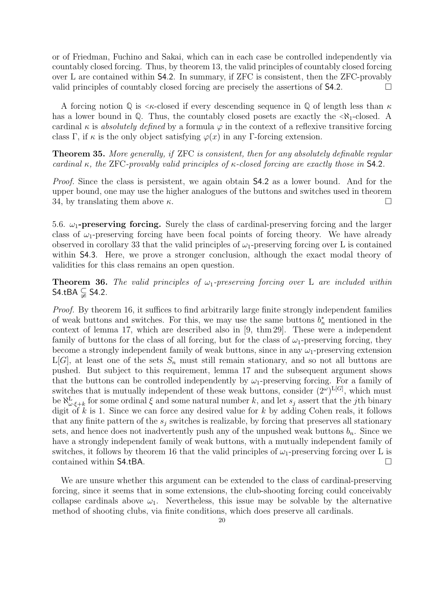or of Friedman, Fuchino and Sakai, which can in each case be controlled independently via countably closed forcing. Thus, by theorem 13, the valid principles of countably closed forcing over L are contained within S4.2. In summary, if ZFC is consistent, then the ZFC-provably valid principles of countably closed forcing are precisely the assertions of S4.2.

A forcing notion  $\mathbb{Q}$  is  $\lt \kappa$ -closed if every descending sequence in  $\mathbb{Q}$  of length less than  $\kappa$ has a lower bound in  $\mathbb{Q}$ . Thus, the countably closed posets are exactly the  $\langle \aleph_1$ -closed. A cardinal  $\kappa$  is absolutely defined by a formula  $\varphi$  in the context of a reflexive transitive forcing class Γ, if  $\kappa$  is the only object satisfying  $\varphi(x)$  in any Γ-forcing extension.

Theorem 35. More generally, if ZFC is consistent, then for any absolutely definable regular cardinal  $\kappa$ , the ZFC-provably valid principles of  $\kappa$ -closed forcing are exactly those in **S4.2**.

Proof. Since the class is persistent, we again obtain S4.2 as a lower bound. And for the upper bound, one may use the higher analogues of the buttons and switches used in theorem 34, by translating them above  $\kappa$ .

5.6.  $\omega_1$ -preserving forcing. Surely the class of cardinal-preserving forcing and the larger class of  $\omega_1$ -preserving forcing have been focal points of forcing theory. We have already observed in corollary 33 that the valid principles of  $\omega_1$ -preserving forcing over L is contained within **S4.3**. Here, we prove a stronger conclusion, although the exact modal theory of validities for this class remains an open question.

**Theorem 36.** The valid principles of  $\omega_1$ -preserving forcing over L are included within S4.tBA  $\subsetneq$  S4.2.

Proof. By theorem 16, it suffices to find arbitrarily large finite strongly independent families of weak buttons and switches. For this, we may use the same buttons  $b_n^*$  mentioned in the context of lemma 17, which are described also in [9, thm 29]. These were a independent family of buttons for the class of all forcing, but for the class of  $\omega_1$ -preserving forcing, they become a strongly independent family of weak buttons, since in any  $\omega_1$ -preserving extension  $L[G]$ , at least one of the sets  $S_n$  must still remain stationary, and so not all buttons are pushed. But subject to this requirement, lemma 17 and the subsequent argument shows that the buttons can be controlled independently by  $\omega_1$ -preserving forcing. For a family of switches that is mutually independent of these weak buttons, consider  $(2^{\omega})^{\text{L}[G]}$ , which must be  $\aleph_{\omega \cdot \xi + k}^L$  for some ordinal  $\xi$  and some natural number k, and let  $s_j$  assert that the jth binary digit of  $k$  is 1. Since we can force any desired value for  $k$  by adding Cohen reals, it follows that any finite pattern of the  $s_i$  switches is realizable, by forcing that preserves all stationary sets, and hence does not inadvertently push any of the unpushed weak buttons  $b_n$ . Since we have a strongly independent family of weak buttons, with a mutually independent family of switches, it follows by theorem 16 that the valid principles of  $\omega_1$ -preserving forcing over L is contained within S4.tBA.

We are unsure whether this argument can be extended to the class of cardinal-preserving forcing, since it seems that in some extensions, the club-shooting forcing could conceivably collapse cardinals above  $\omega_1$ . Nevertheless, this issue may be solvable by the alternative method of shooting clubs, via finite conditions, which does preserve all cardinals.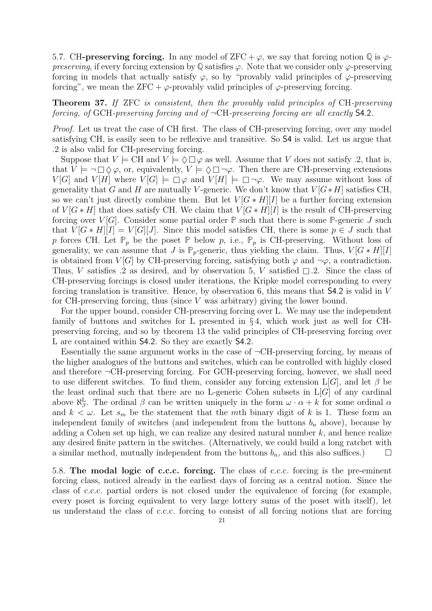5.7. CH-**preserving forcing.** In any model of ZFC +  $\varphi$ , we say that forcing notion  $\mathbb{Q}$  is  $\varphi$ preserving, if every forcing extension by  $\mathbb Q$  satisfies  $\varphi$ . Note that we consider only  $\varphi$ -preserving forcing in models that actually satisfy  $\varphi$ , so by "provably valid principles of  $\varphi$ -preserving forcing", we mean the ZFC +  $\varphi$ -provably valid principles of  $\varphi$ -preserving forcing.

# Theorem 37. If ZFC is consistent, then the provably valid principles of CH-preserving forcing, of GCH-preserving forcing and of  $\neg$ CH-preserving forcing are all exactly **S4.2.**

Proof. Let us treat the case of CH first. The class of CH-preserving forcing, over any model satisfying CH, is easily seen to be reflexive and transitive. So S4 is valid. Let us argue that .2 is also valid for CH-preserving forcing.

Suppose that  $V \models \text{CH}$  and  $V \models \Diamond \Box \varphi$  as well. Assume that V does not satisfy .2, that is, that  $V \models \neg \Box \Diamond \varphi$ , or, equivalently,  $V \models \Diamond \Box \neg \varphi$ . Then there are CH-preserving extensions  $V[G]$  and  $V[H]$  where  $V[G] \models \Box \varphi$  and  $V[H] \models \Box \neg \varphi$ . We may assume without loss of generality that G and H are mutually V-generic. We don't know that  $V[G*H]$  satisfies CH, so we can't just directly combine them. But let  $V[G*H][I]$  be a further forcing extension of  $V[G * H]$  that does satisfy CH. We claim that  $V[G * H][I]$  is the result of CH-preserving forcing over  $V[G]$ . Consider some partial order  $\mathbb P$  such that there is some  $\mathbb P$ -generic J such that  $V[G * H][I] = V[G][J]$ . Since this model satisfies CH, there is some  $p \in J$  such that p forces CH. Let  $\mathbb{P}_p$  be the poset  $\mathbb{P}$  below p, i.e.,  $\mathbb{P}_p$  is CH-preserving. Without loss of generality, we can assume that J is  $\mathbb{P}_p$ -generic, thus yielding the claim. Thus,  $V[G*H][I]$ is obtained from  $V[G]$  by CH-preserving forcing, satisfying both  $\varphi$  and  $\neg \varphi$ , a contradiction. Thus, V satisfies .2 as desired, and by observation 5, V satisfied  $\Box$  2. Since the class of CH-preserving forcings is closed under iterations, the Kripke model corresponding to every forcing translation is transitive. Hence, by observation 6, this means that S4.2 is valid in V for CH-preserving forcing, thus (since  $V$  was arbitrary) giving the lower bound.

For the upper bound, consider CH-preserving forcing over L. We may use the independent family of buttons and switches for L presented in  $\S 4$ , which work just as well for CHpreserving forcing, and so by theorem 13 the valid principles of CH-preserving forcing over L are contained within S4.2. So they are exactly S4.2.

Essentially the same argument works in the case of  $\neg$ CH-preserving forcing, by means of the higher analogues of the buttons and switches, which can be controlled with highly closed and therefore  $\neg$ CH-preserving forcing. For GCH-preserving forcing, however, we shall need to use different switches. To find them, consider any forcing extension  $L[G]$ , and let  $\beta$  be the least ordinal such that there are no L-generic Cohen subsets in  $L[G]$  of any cardinal above  $\aleph_{\beta}^{\text{L}}$ . The ordinal  $\beta$  can be written uniquely in the form  $\omega \cdot \alpha + k$  for some ordinal  $\alpha$ and  $k < \omega$ . Let  $s_m$  be the statement that the mth binary digit of k is 1. These form an independent family of switches (and independent from the buttons  $b_n$  above), because by adding a Cohen set up high, we can realize any desired natural number  $k$ , and hence realize any desired finite pattern in the switches. (Alternatively, we could build a long ratchet with a similar method, mutually independent from the buttons  $b_n$ , and this also suffices.)

5.8. The modal logic of c.c.c. forcing. The class of c.c.c. forcing is the pre-eminent forcing class, noticed already in the earliest days of forcing as a central notion. Since the class of c.c.c. partial orders is not closed under the equivalence of forcing (for example, every poset is forcing equivalent to very large lottery sums of the poset with itself), let us understand the class of c.c.c. forcing to consist of all forcing notions that are forcing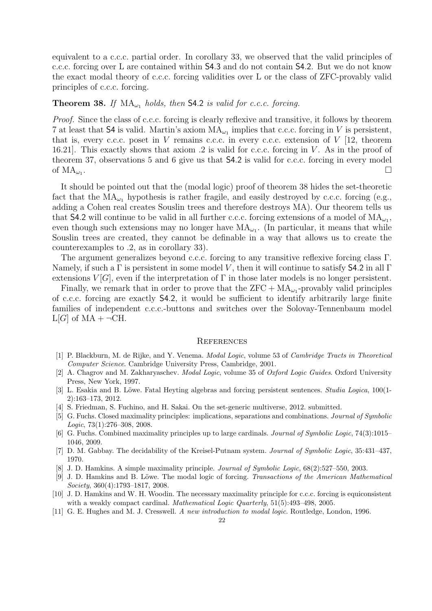equivalent to a c.c.c. partial order. In corollary 33, we observed that the valid principles of c.c.c. forcing over L are contained within S4.3 and do not contain S4.2. But we do not know the exact modal theory of c.c.c. forcing validities over L or the class of ZFC-provably valid principles of c.c.c. forcing.

# **Theorem 38.** If  $MA_{\omega_1}$  holds, then **S4.2** is valid for c.c.c. forcing.

Proof. Since the class of c.c.c. forcing is clearly reflexive and transitive, it follows by theorem 7 at least that **S4** is valid. Martin's axiom  $MA_{\omega_1}$  implies that c.c.c. forcing in V is persistent, that is, every c.c.c. poset in V remains c.c.c. in every c.c.c. extension of  $V$  [12, theorem 16.21. This exactly shows that axiom .2 is valid for c.c.c. forcing in V. As in the proof of theorem 37, observations 5 and 6 give us that S4.2 is valid for c.c.c. forcing in every model of  $MA_{\omega_1}$ . . In the contract of the contract of the contract of the contract of the contract of the contract of the contra<br>The contract of the contract of the contract of the contract of the contract of the contract of the contract o

It should be pointed out that the (modal logic) proof of theorem 38 hides the set-theoretic fact that the  $MA_{\omega_1}$  hypothesis is rather fragile, and easily destroyed by c.c.c. forcing (e.g., adding a Cohen real creates Souslin trees and therefore destroys MA). Our theorem tells us that **S4.2** will continue to be valid in all further c.c.c. forcing extensions of a model of  $MA_{\omega_1}$ , even though such extensions may no longer have  $MA_{\omega_1}$ . (In particular, it means that while Souslin trees are created, they cannot be definable in a way that allows us to create the counterexamples to .2, as in corollary 33).

The argument generalizes beyond c.c.c. forcing to any transitive reflexive forcing class Γ. Namely, if such a  $\Gamma$  is persistent in some model V, then it will continue to satisfy **S4.2** in all  $\Gamma$ extensions  $V[G]$ , even if the interpretation of  $\Gamma$  in those later models is no longer persistent.

Finally, we remark that in order to prove that the  $ZFC + MA_{\omega_1}$ -provably valid principles of c.c.c. forcing are exactly S4.2, it would be sufficient to identify arbitrarily large finite families of independent c.c.c.-buttons and switches over the Solovay-Tennenbaum model  $L[G]$  of  $MA + \neg CH$ .

#### **REFERENCES**

- [1] P. Blackburn, M. de Rijke, and Y. Venema. Modal Logic, volume 53 of Cambridge Tracts in Theoretical Computer Science. Cambridge University Press, Cambridge, 2001.
- [2] A. Chagrov and M. Zakharyaschev. *Modal Logic*, volume 35 of *Oxford Logic Guides*. Oxford University Press, New York, 1997.
- [3] L. Esakia and B. Löwe. Fatal Heyting algebras and forcing persistent sentences. *Studia Logica*, 100(1-2):163–173, 2012.
- [4] S. Friedman, S. Fuchino, and H. Sakai. On the set-generic multiverse, 2012. submitted.
- [5] G. Fuchs. Closed maximality principles: implications, separations and combinations. Journal of Symbolic Logic, 73(1):276–308, 2008.
- [6] G. Fuchs. Combined maximality principles up to large cardinals. Journal of Symbolic Logic, 74(3):1015– 1046, 2009.
- [7] D. M. Gabbay. The decidability of the Kreisel-Putnam system. Journal of Symbolic Logic, 35:431–437, 1970.
- [8] J. D. Hamkins. A simple maximality principle. Journal of Symbolic Logic, 68(2):527–550, 2003.
- [9] J. D. Hamkins and B. Löwe. The modal logic of forcing. Transactions of the American Mathematical Society, 360(4):1793–1817, 2008.
- [10] J. D. Hamkins and W. H. Woodin. The necessary maximality principle for c.c.c. forcing is equiconsistent with a weakly compact cardinal. Mathematical Logic Quarterly, 51(5):493-498, 2005.
- [11] G. E. Hughes and M. J. Cresswell. A new introduction to modal logic. Routledge, London, 1996.